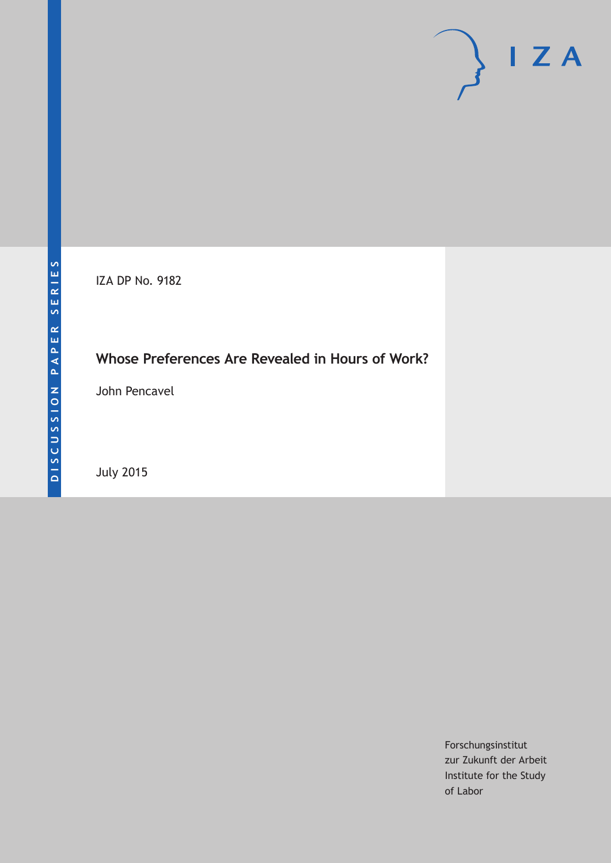

IZA DP No. 9182

# **Whose Preferences Are Revealed in Hours of Work?**

John Pencavel

July 2015

Forschungsinstitut zur Zukunft der Arbeit Institute for the Study of Labor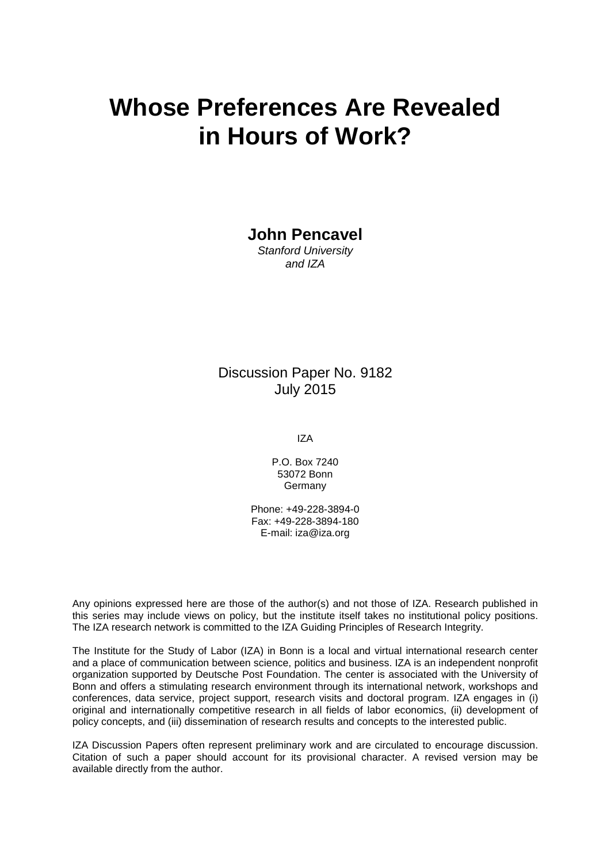# **Whose Preferences Are Revealed in Hours of Work?**

**John Pencavel**

*Stanford University and IZA*

## Discussion Paper No. 9182 July 2015

IZA

P.O. Box 7240 53072 Bonn Germany

Phone: +49-228-3894-0 Fax: +49-228-3894-180 E-mail: iza@iza.org

Any opinions expressed here are those of the author(s) and not those of IZA. Research published in this series may include views on policy, but the institute itself takes no institutional policy positions. The IZA research network is committed to the IZA Guiding Principles of Research Integrity.

The Institute for the Study of Labor (IZA) in Bonn is a local and virtual international research center and a place of communication between science, politics and business. IZA is an independent nonprofit organization supported by Deutsche Post Foundation. The center is associated with the University of Bonn and offers a stimulating research environment through its international network, workshops and conferences, data service, project support, research visits and doctoral program. IZA engages in (i) original and internationally competitive research in all fields of labor economics, (ii) development of policy concepts, and (iii) dissemination of research results and concepts to the interested public.

IZA Discussion Papers often represent preliminary work and are circulated to encourage discussion. Citation of such a paper should account for its provisional character. A revised version may be available directly from the author.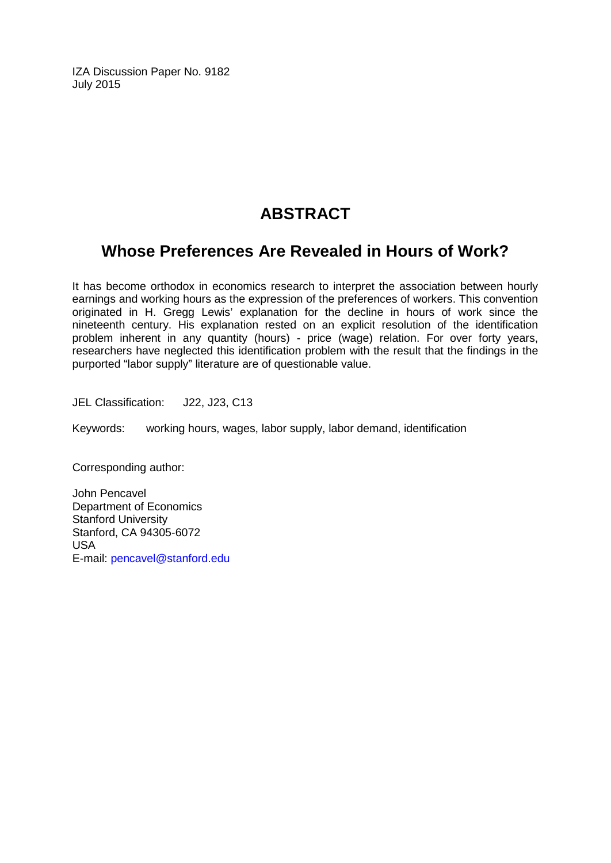IZA Discussion Paper No. 9182 July 2015

# **ABSTRACT**

# **Whose Preferences Are Revealed in Hours of Work?**

It has become orthodox in economics research to interpret the association between hourly earnings and working hours as the expression of the preferences of workers. This convention originated in H. Gregg Lewis' explanation for the decline in hours of work since the nineteenth century. His explanation rested on an explicit resolution of the identification problem inherent in any quantity (hours) - price (wage) relation. For over forty years, researchers have neglected this identification problem with the result that the findings in the purported "labor supply" literature are of questionable value.

JEL Classification: J22, J23, C13

Keywords: working hours, wages, labor supply, labor demand, identification

Corresponding author:

John Pencavel Department of Economics Stanford University Stanford, CA 94305-6072 USA E-mail: [pencavel@stanford.edu](mailto:pencavel@stanford.edu)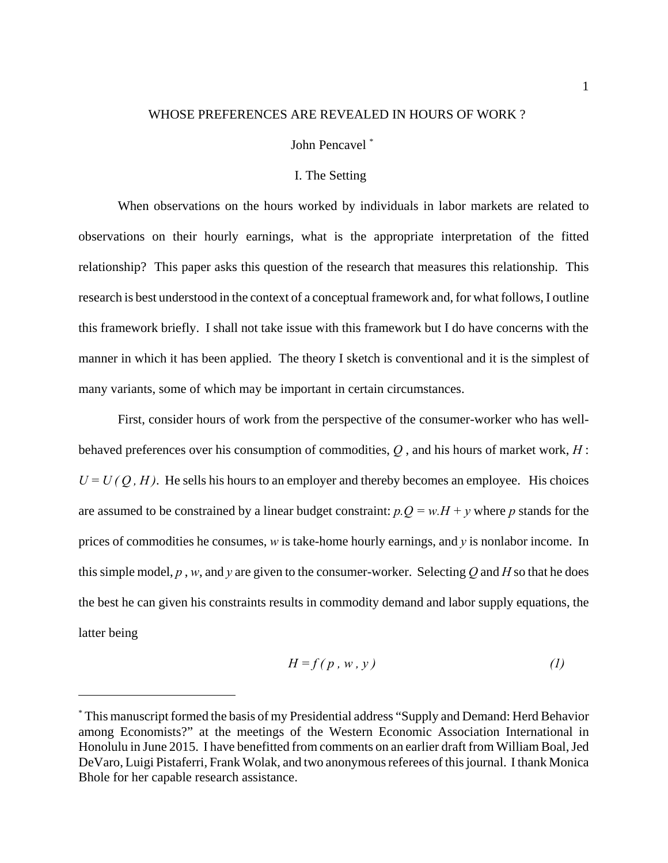#### WHOSE PREFERENCES ARE REVEALED IN HOURS OF WORK ?

#### John Pencavel \*

#### I. The Setting

When observations on the hours worked by individuals in labor markets are related to observations on their hourly earnings, what is the appropriate interpretation of the fitted relationship? This paper asks this question of the research that measures this relationship. This research is best understood in the context of a conceptual framework and, for what follows, I outline this framework briefly. I shall not take issue with this framework but I do have concerns with the manner in which it has been applied. The theory I sketch is conventional and it is the simplest of many variants, some of which may be important in certain circumstances.

First, consider hours of work from the perspective of the consumer-worker who has wellbehaved preferences over his consumption of commodities, *Q* , and his hours of market work, *H* :  $U = U(O, H)$ . He sells his hours to an employer and thereby becomes an employee. His choices are assumed to be constrained by a linear budget constraint:  $p.Q = w.H + y$  where *p* stands for the prices of commodities he consumes, *w* is take-home hourly earnings, and *y* is nonlabor income. In this simple model,  $p$ ,  $w$ , and  $y$  are given to the consumer-worker. Selecting  $Q$  and  $H$  so that he does the best he can given his constraints results in commodity demand and labor supply equations, the latter being

$$
H = f(p, w, y) \tag{1}
$$

<sup>\*</sup> This manuscript formed the basis of my Presidential address "Supply and Demand: Herd Behavior among Economists?" at the meetings of the Western Economic Association International in Honolulu in June 2015. I have benefitted from comments on an earlier draft from William Boal, Jed DeVaro, Luigi Pistaferri, Frank Wolak, and two anonymous referees of this journal. I thank Monica Bhole for her capable research assistance.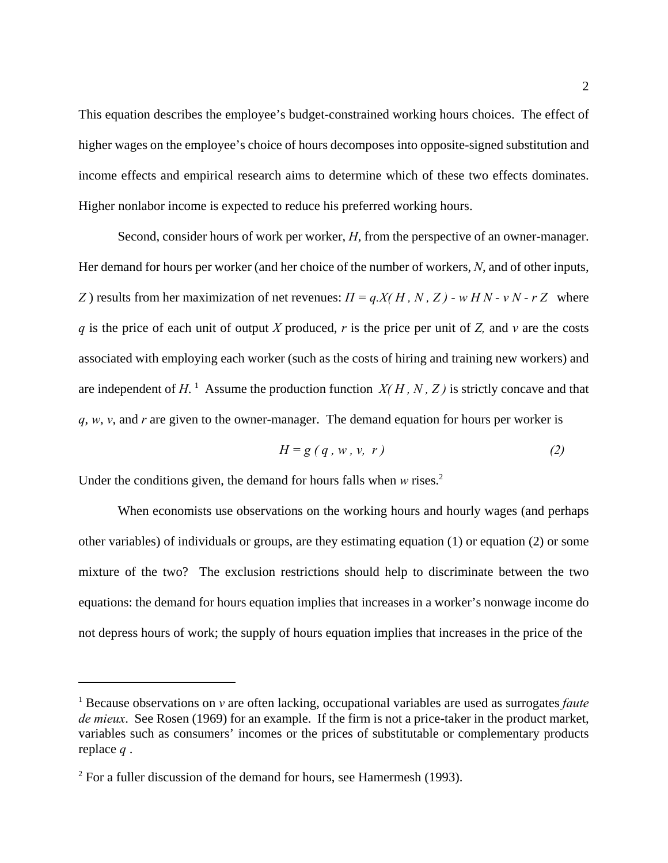This equation describes the employee's budget-constrained working hours choices. The effect of higher wages on the employee's choice of hours decomposes into opposite-signed substitution and income effects and empirical research aims to determine which of these two effects dominates. Higher nonlabor income is expected to reduce his preferred working hours.

Second, consider hours of work per worker, *H*, from the perspective of an owner-manager. Her demand for hours per worker (and her choice of the number of workers, *N*, and of other inputs, *Z*) results from her maximization of net revenues:  $\Pi = q.X(H, N, Z)$  - w  $HN - vN - rZ$  where *q* is the price of each unit of output *X* produced, *r* is the price per unit of *Z,* and *v* are the costs associated with employing each worker (such as the costs of hiring and training new workers) and are independent of  $H$ .<sup>1</sup> Assume the production function  $X(H, N, Z)$  is strictly concave and that *q*, *w*, *v*, and *r* are given to the owner-manager. The demand equation for hours per worker is

$$
H = g(q, w, v, r) \tag{2}
$$

Under the conditions given, the demand for hours falls when *w* rises.<sup>2</sup>

When economists use observations on the working hours and hourly wages (and perhaps other variables) of individuals or groups, are they estimating equation (1) or equation (2) or some mixture of the two? The exclusion restrictions should help to discriminate between the two equations: the demand for hours equation implies that increases in a worker's nonwage income do not depress hours of work; the supply of hours equation implies that increases in the price of the

<sup>&</sup>lt;sup>1</sup> Because observations on *v* are often lacking, occupational variables are used as surrogates *faute de mieux*. See Rosen (1969) for an example. If the firm is not a price-taker in the product market, variables such as consumers' incomes or the prices of substitutable or complementary products replace *q* .

 $2^2$  For a fuller discussion of the demand for hours, see Hamermesh (1993).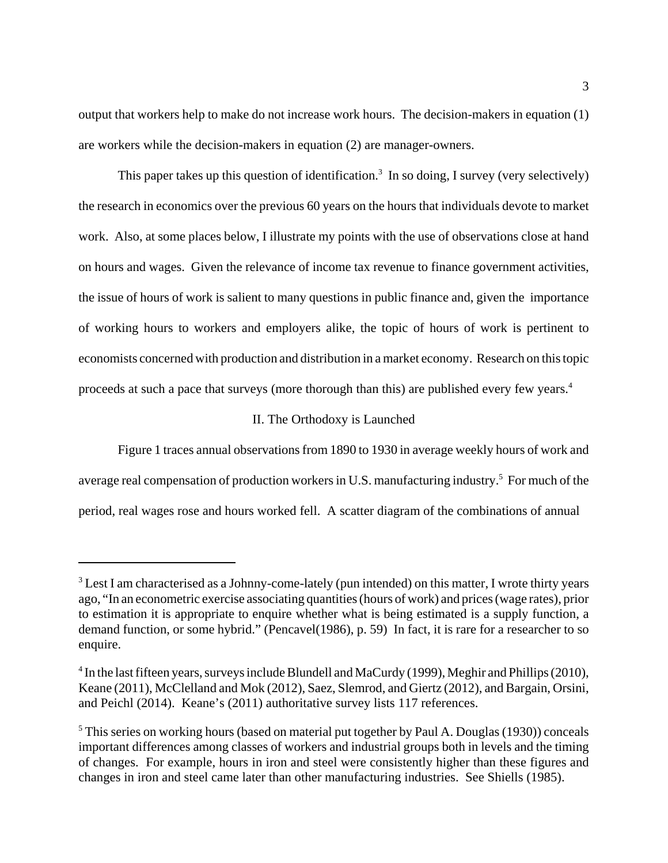output that workers help to make do not increase work hours. The decision-makers in equation (1) are workers while the decision-makers in equation (2) are manager-owners.

This paper takes up this question of identification.<sup>3</sup> In so doing, I survey (very selectively) the research in economics over the previous 60 years on the hours that individuals devote to market work. Also, at some places below, I illustrate my points with the use of observations close at hand on hours and wages. Given the relevance of income tax revenue to finance government activities, the issue of hours of work is salient to many questions in public finance and, given the importance of working hours to workers and employers alike, the topic of hours of work is pertinent to economists concerned with production and distribution in a market economy. Research on this topic proceeds at such a pace that surveys (more thorough than this) are published every few years.<sup>4</sup>

#### II. The Orthodoxy is Launched

Figure 1 traces annual observations from 1890 to 1930 in average weekly hours of work and average real compensation of production workers in U.S. manufacturing industry.<sup>5</sup> For much of the period, real wages rose and hours worked fell. A scatter diagram of the combinations of annual

 $3$  Lest I am characterised as a Johnny-come-lately (pun intended) on this matter, I wrote thirty years ago, "In an econometric exercise associating quantities (hours of work) and prices (wage rates), prior to estimation it is appropriate to enquire whether what is being estimated is a supply function, a demand function, or some hybrid." (Pencavel(1986), p. 59) In fact, it is rare for a researcher to so enquire.

 $4$  In the last fifteen years, surveys include Blundell and MaCurdy (1999), Meghir and Phillips (2010), Keane (2011), McClelland and Mok (2012), Saez, Slemrod, and Giertz (2012), and Bargain, Orsini, and Peichl (2014). Keane's (2011) authoritative survey lists 117 references.

<sup>&</sup>lt;sup>5</sup> This series on working hours (based on material put together by Paul A. Douglas (1930)) conceals important differences among classes of workers and industrial groups both in levels and the timing of changes. For example, hours in iron and steel were consistently higher than these figures and changes in iron and steel came later than other manufacturing industries. See Shiells (1985).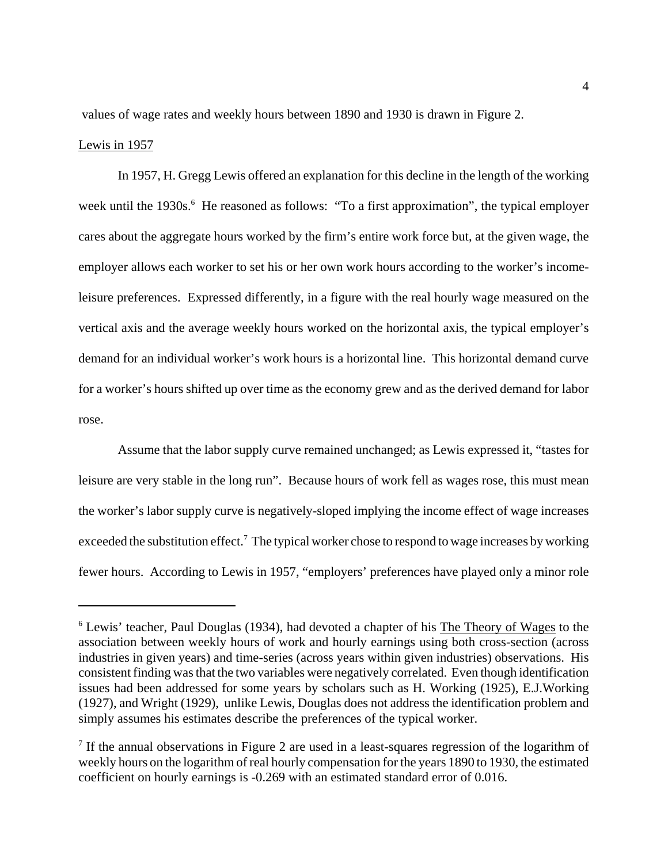values of wage rates and weekly hours between 1890 and 1930 is drawn in Figure 2. Lewis in 1957

In 1957, H. Gregg Lewis offered an explanation for this decline in the length of the working week until the 1930s.<sup>6</sup> He reasoned as follows: "To a first approximation", the typical employer cares about the aggregate hours worked by the firm's entire work force but, at the given wage, the employer allows each worker to set his or her own work hours according to the worker's incomeleisure preferences. Expressed differently, in a figure with the real hourly wage measured on the vertical axis and the average weekly hours worked on the horizontal axis, the typical employer's demand for an individual worker's work hours is a horizontal line. This horizontal demand curve for a worker's hours shifted up over time as the economy grew and as the derived demand for labor rose.

Assume that the labor supply curve remained unchanged; as Lewis expressed it, "tastes for leisure are very stable in the long run". Because hours of work fell as wages rose, this must mean the worker's labor supply curve is negatively-sloped implying the income effect of wage increases exceeded the substitution effect.<sup>7</sup> The typical worker chose to respond to wage increases by working fewer hours. According to Lewis in 1957, "employers' preferences have played only a minor role

<sup>&</sup>lt;sup>6</sup> Lewis' teacher, Paul Douglas (1934), had devoted a chapter of his The Theory of Wages to the association between weekly hours of work and hourly earnings using both cross-section (across industries in given years) and time-series (across years within given industries) observations. His consistent finding was that the two variables were negatively correlated. Even though identification issues had been addressed for some years by scholars such as H. Working (1925), E.J.Working (1927), and Wright (1929), unlike Lewis, Douglas does not address the identification problem and simply assumes his estimates describe the preferences of the typical worker.

<sup>&</sup>lt;sup>7</sup> If the annual observations in Figure 2 are used in a least-squares regression of the logarithm of weekly hours on the logarithm of real hourly compensation for the years 1890 to 1930, the estimated coefficient on hourly earnings is -0.269 with an estimated standard error of 0.016.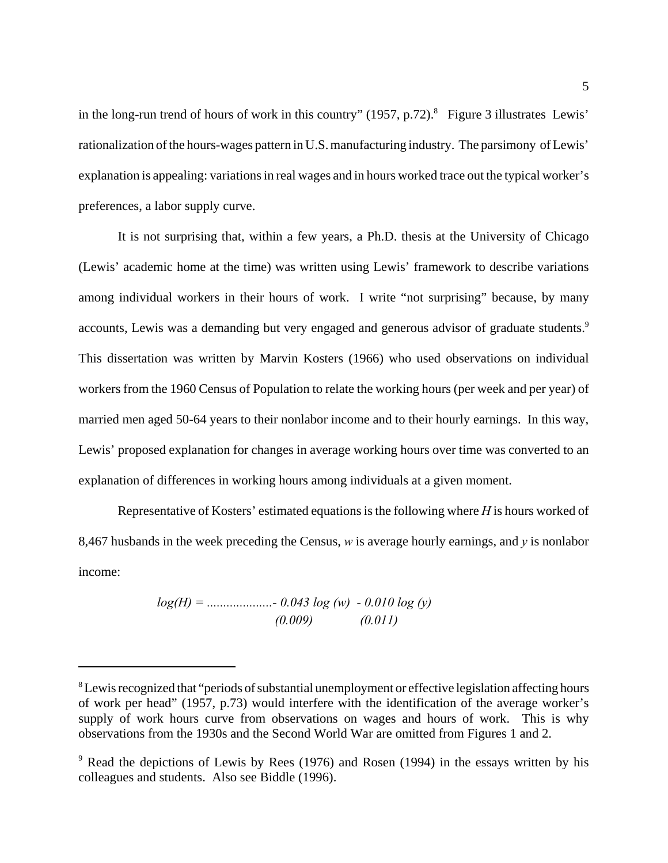in the long-run trend of hours of work in this country"  $(1957, p.72)$ .<sup>8</sup> Figure 3 illustrates Lewis' rationalization of the hours-wages pattern in U.S. manufacturing industry. The parsimony of Lewis' explanation is appealing: variations in real wages and in hours worked trace out the typical worker's preferences, a labor supply curve.

It is not surprising that, within a few years, a Ph.D. thesis at the University of Chicago (Lewis' academic home at the time) was written using Lewis' framework to describe variations among individual workers in their hours of work. I write "not surprising" because, by many accounts, Lewis was a demanding but very engaged and generous advisor of graduate students.<sup>9</sup> This dissertation was written by Marvin Kosters (1966) who used observations on individual workers from the 1960 Census of Population to relate the working hours (per week and per year) of married men aged 50-64 years to their nonlabor income and to their hourly earnings. In this way, Lewis' proposed explanation for changes in average working hours over time was converted to an explanation of differences in working hours among individuals at a given moment.

Representative of Kosters' estimated equations is the following where *H* is hours worked of 8,467 husbands in the week preceding the Census, *w* is average hourly earnings, and *y* is nonlabor income:

$$
log(H) =
$$
................. - 0.043 log (w) - 0.010 log (y)  
(0.009) (0.011)

<sup>&</sup>lt;sup>8</sup> Lewis recognized that "periods of substantial unemployment or effective legislation affecting hours of work per head" (1957, p.73) would interfere with the identification of the average worker's supply of work hours curve from observations on wages and hours of work. This is why observations from the 1930s and the Second World War are omitted from Figures 1 and 2.

<sup>&</sup>lt;sup>9</sup> Read the depictions of Lewis by Rees (1976) and Rosen (1994) in the essays written by his colleagues and students. Also see Biddle (1996).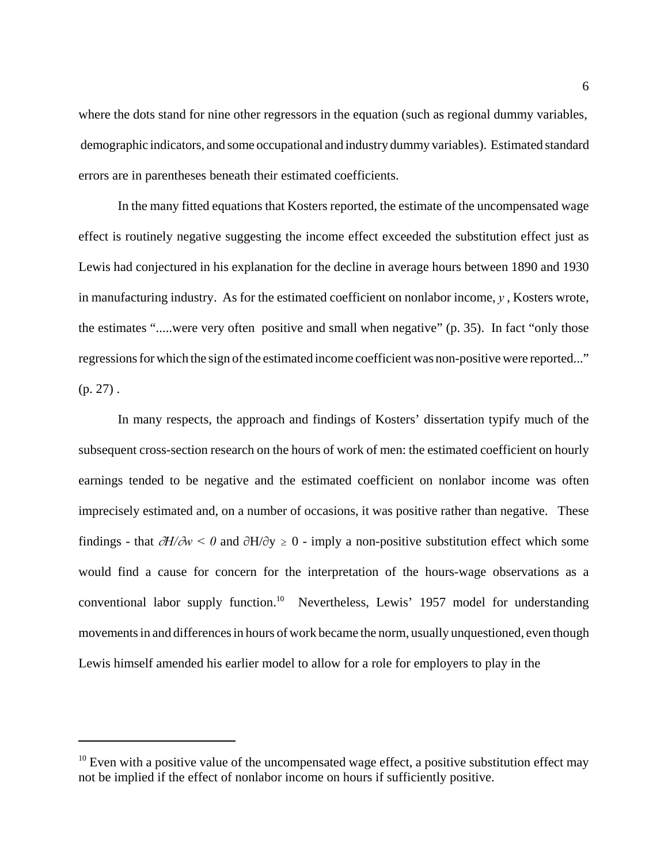where the dots stand for nine other regressors in the equation (such as regional dummy variables, demographic indicators, and some occupational and industry dummy variables). Estimated standard errors are in parentheses beneath their estimated coefficients.

In the many fitted equations that Kosters reported, the estimate of the uncompensated wage effect is routinely negative suggesting the income effect exceeded the substitution effect just as Lewis had conjectured in his explanation for the decline in average hours between 1890 and 1930 in manufacturing industry. As for the estimated coefficient on nonlabor income,  $\gamma$ , Kosters wrote, the estimates ".....were very often positive and small when negative" (p. 35). In fact "only those regressions for which the sign of the estimated income coefficient was non-positive were reported..."  $(p. 27)$ .

In many respects, the approach and findings of Kosters' dissertation typify much of the subsequent cross-section research on the hours of work of men: the estimated coefficient on hourly earnings tended to be negative and the estimated coefficient on nonlabor income was often imprecisely estimated and, on a number of occasions, it was positive rather than negative. These findings - that  $\partial H/\partial w < 0$  and  $\partial H/\partial y \ge 0$  - imply a non-positive substitution effect which some would find a cause for concern for the interpretation of the hours-wage observations as a conventional labor supply function.10 Nevertheless, Lewis' 1957 model for understanding movements in and differences in hours of work became the norm, usually unquestioned, even though Lewis himself amended his earlier model to allow for a role for employers to play in the

 $10$  Even with a positive value of the uncompensated wage effect, a positive substitution effect may not be implied if the effect of nonlabor income on hours if sufficiently positive.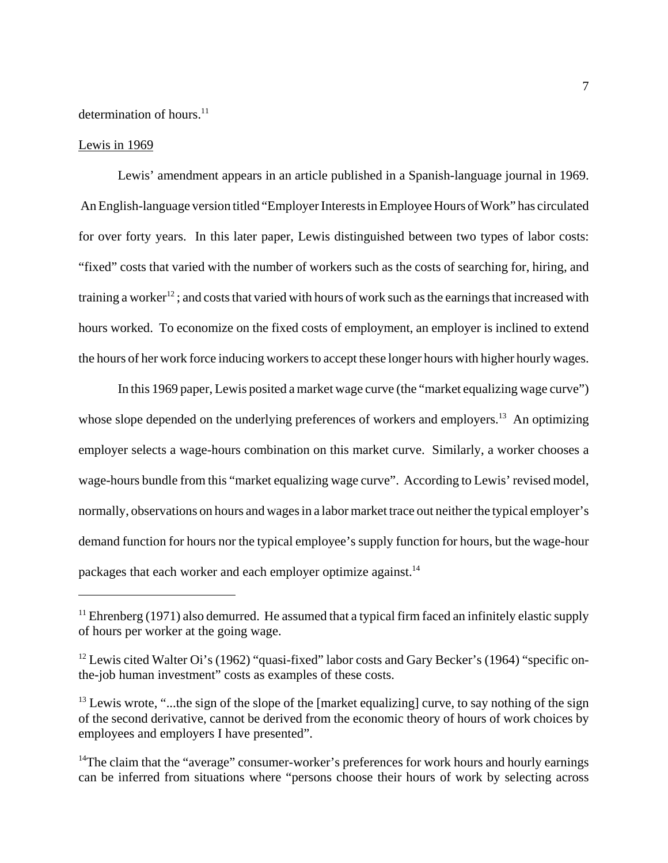#### determination of hours.<sup>11</sup>

#### Lewis in 1969

Lewis' amendment appears in an article published in a Spanish-language journal in 1969. An English-language version titled "Employer Interests in Employee Hours of Work" has circulated for over forty years. In this later paper, Lewis distinguished between two types of labor costs: "fixed" costs that varied with the number of workers such as the costs of searching for, hiring, and training a worker<sup>12</sup>; and costs that varied with hours of work such as the earnings that increased with hours worked. To economize on the fixed costs of employment, an employer is inclined to extend the hours of her work force inducing workers to accept these longer hours with higher hourly wages.

In this 1969 paper, Lewis posited a market wage curve (the "market equalizing wage curve") whose slope depended on the underlying preferences of workers and employers.<sup>13</sup> An optimizing employer selects a wage-hours combination on this market curve. Similarly, a worker chooses a wage-hours bundle from this "market equalizing wage curve". According to Lewis' revised model, normally, observations on hours and wages in a labor market trace out neither the typical employer's demand function for hours nor the typical employee's supply function for hours, but the wage-hour packages that each worker and each employer optimize against.<sup>14</sup>

 $11$  Ehrenberg (1971) also demurred. He assumed that a typical firm faced an infinitely elastic supply of hours per worker at the going wage.

<sup>&</sup>lt;sup>12</sup> Lewis cited Walter Oi's (1962) "quasi-fixed" labor costs and Gary Becker's (1964) "specific onthe-job human investment" costs as examples of these costs.

 $13$  Lewis wrote, "...the sign of the slope of the [market equalizing] curve, to say nothing of the sign of the second derivative, cannot be derived from the economic theory of hours of work choices by employees and employers I have presented".

 $14$ The claim that the "average" consumer-worker's preferences for work hours and hourly earnings can be inferred from situations where "persons choose their hours of work by selecting across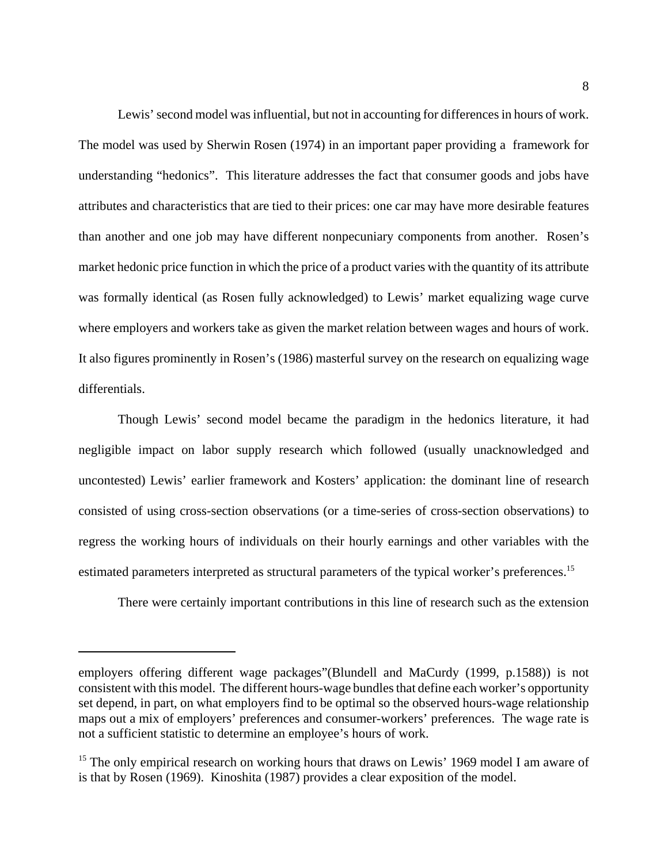Lewis' second model was influential, but not in accounting for differences in hours of work. The model was used by Sherwin Rosen (1974) in an important paper providing a framework for understanding "hedonics". This literature addresses the fact that consumer goods and jobs have attributes and characteristics that are tied to their prices: one car may have more desirable features than another and one job may have different nonpecuniary components from another. Rosen's market hedonic price function in which the price of a product varies with the quantity of its attribute was formally identical (as Rosen fully acknowledged) to Lewis' market equalizing wage curve where employers and workers take as given the market relation between wages and hours of work. It also figures prominently in Rosen's (1986) masterful survey on the research on equalizing wage differentials.

Though Lewis' second model became the paradigm in the hedonics literature, it had negligible impact on labor supply research which followed (usually unacknowledged and uncontested) Lewis' earlier framework and Kosters' application: the dominant line of research consisted of using cross-section observations (or a time-series of cross-section observations) to regress the working hours of individuals on their hourly earnings and other variables with the estimated parameters interpreted as structural parameters of the typical worker's preferences.<sup>15</sup>

There were certainly important contributions in this line of research such as the extension

employers offering different wage packages"(Blundell and MaCurdy (1999, p.1588)) is not consistent with this model. The different hours-wage bundles that define each worker's opportunity set depend, in part, on what employers find to be optimal so the observed hours-wage relationship maps out a mix of employers' preferences and consumer-workers' preferences. The wage rate is not a sufficient statistic to determine an employee's hours of work.

<sup>&</sup>lt;sup>15</sup> The only empirical research on working hours that draws on Lewis' 1969 model I am aware of is that by Rosen (1969). Kinoshita (1987) provides a clear exposition of the model.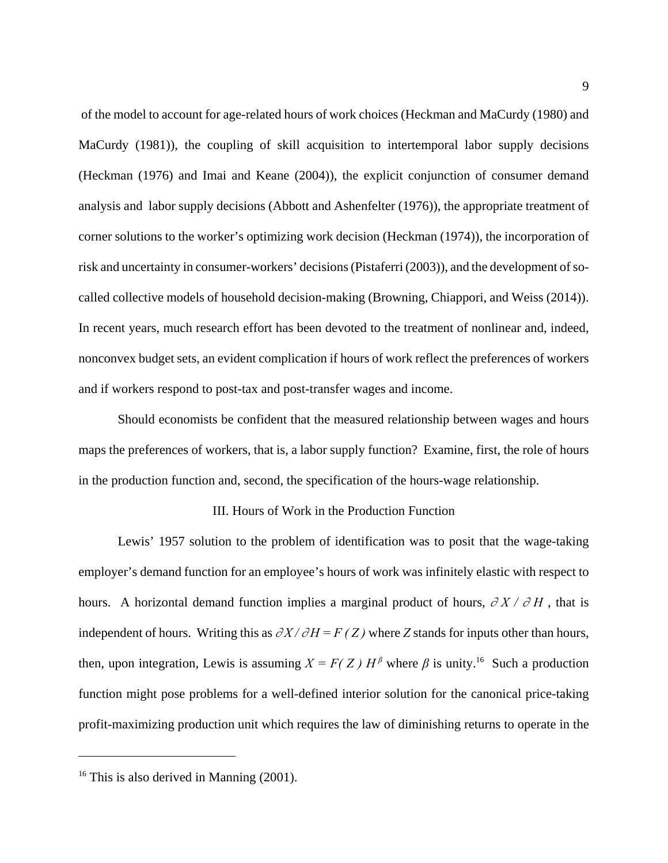of the model to account for age-related hours of work choices (Heckman and MaCurdy (1980) and MaCurdy (1981)), the coupling of skill acquisition to intertemporal labor supply decisions (Heckman (1976) and Imai and Keane (2004)), the explicit conjunction of consumer demand analysis and labor supply decisions (Abbott and Ashenfelter (1976)), the appropriate treatment of corner solutions to the worker's optimizing work decision (Heckman (1974)), the incorporation of risk and uncertainty in consumer-workers' decisions (Pistaferri (2003)), and the development of socalled collective models of household decision-making (Browning, Chiappori, and Weiss (2014)). In recent years, much research effort has been devoted to the treatment of nonlinear and, indeed, nonconvex budget sets, an evident complication if hours of work reflect the preferences of workers and if workers respond to post-tax and post-transfer wages and income.

Should economists be confident that the measured relationship between wages and hours maps the preferences of workers, that is, a labor supply function? Examine, first, the role of hours in the production function and, second, the specification of the hours-wage relationship.

#### III. Hours of Work in the Production Function

Lewis' 1957 solution to the problem of identification was to posit that the wage-taking employer's demand function for an employee's hours of work was infinitely elastic with respect to hours. A horizontal demand function implies a marginal product of hours,  $\partial X / \partial H$ , that is independent of hours. Writing this as  $\partial X / \partial H = F(Z)$  where *Z* stands for inputs other than hours, then, upon integration, Lewis is assuming  $X = F(Z)$   $H^{\beta}$  where  $\beta$  is unity.<sup>16</sup> Such a production function might pose problems for a well-defined interior solution for the canonical price-taking profit-maximizing production unit which requires the law of diminishing returns to operate in the

 $16$  This is also derived in Manning (2001).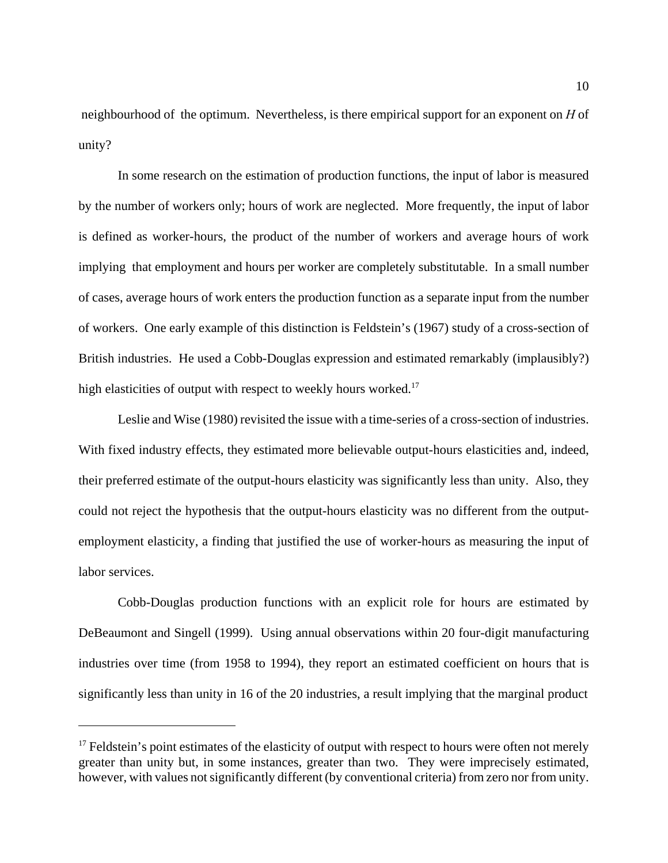neighbourhood of the optimum. Nevertheless, is there empirical support for an exponent on *H* of unity?

In some research on the estimation of production functions, the input of labor is measured by the number of workers only; hours of work are neglected. More frequently, the input of labor is defined as worker-hours, the product of the number of workers and average hours of work implying that employment and hours per worker are completely substitutable. In a small number of cases, average hours of work enters the production function as a separate input from the number of workers. One early example of this distinction is Feldstein's (1967) study of a cross-section of British industries. He used a Cobb-Douglas expression and estimated remarkably (implausibly?) high elasticities of output with respect to weekly hours worked.<sup>17</sup>

Leslie and Wise (1980) revisited the issue with a time-series of a cross-section of industries. With fixed industry effects, they estimated more believable output-hours elasticities and, indeed, their preferred estimate of the output-hours elasticity was significantly less than unity. Also, they could not reject the hypothesis that the output-hours elasticity was no different from the outputemployment elasticity, a finding that justified the use of worker-hours as measuring the input of labor services.

Cobb-Douglas production functions with an explicit role for hours are estimated by DeBeaumont and Singell (1999). Using annual observations within 20 four-digit manufacturing industries over time (from 1958 to 1994), they report an estimated coefficient on hours that is significantly less than unity in 16 of the 20 industries, a result implying that the marginal product

 $17$  Feldstein's point estimates of the elasticity of output with respect to hours were often not merely greater than unity but, in some instances, greater than two. They were imprecisely estimated, however, with values not significantly different (by conventional criteria) from zero nor from unity.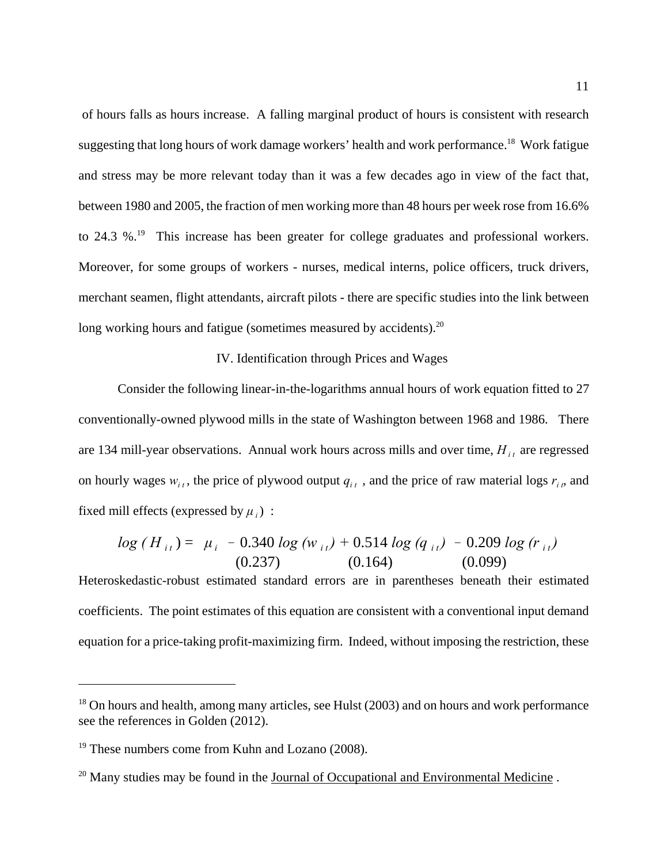of hours falls as hours increase. A falling marginal product of hours is consistent with research suggesting that long hours of work damage workers' health and work performance.<sup>18</sup> Work fatigue and stress may be more relevant today than it was a few decades ago in view of the fact that, between 1980 and 2005, the fraction of men working more than 48 hours per week rose from 16.6% to 24.3 %.<sup>19</sup> This increase has been greater for college graduates and professional workers. Moreover, for some groups of workers - nurses, medical interns, police officers, truck drivers, merchant seamen, flight attendants, aircraft pilots - there are specific studies into the link between long working hours and fatigue (sometimes measured by accidents).<sup>20</sup>

#### IV. Identification through Prices and Wages

 Consider the following linear-in-the-logarithms annual hours of work equation fitted to 27 conventionally-owned plywood mills in the state of Washington between 1968 and 1986. There are 134 mill-year observations. Annual work hours across mills and over time,  $H_{i}$  are regressed on hourly wages  $w_{i,t}$ , the price of plywood output  $q_{i,t}$ , and the price of raw material logs  $r_{i,t}$ , and fixed mill effects (expressed by  $\mu_i$ ) :

$$
log(H_{it}) = \mu_i - 0.340 log(w_{it}) + 0.514 log(q_{it}) - 0.209 log(r_{it})
$$
  
(0.237) (0.164) (0.099)

Heteroskedastic-robust estimated standard errors are in parentheses beneath their estimated coefficients. The point estimates of this equation are consistent with a conventional input demand equation for a price-taking profit-maximizing firm. Indeed, without imposing the restriction, these

<sup>&</sup>lt;sup>18</sup> On hours and health, among many articles, see Hulst (2003) and on hours and work performance see the references in Golden (2012).

<sup>&</sup>lt;sup>19</sup> These numbers come from Kuhn and Lozano (2008).

 $20$  Many studies may be found in the Journal of Occupational and Environmental Medicine.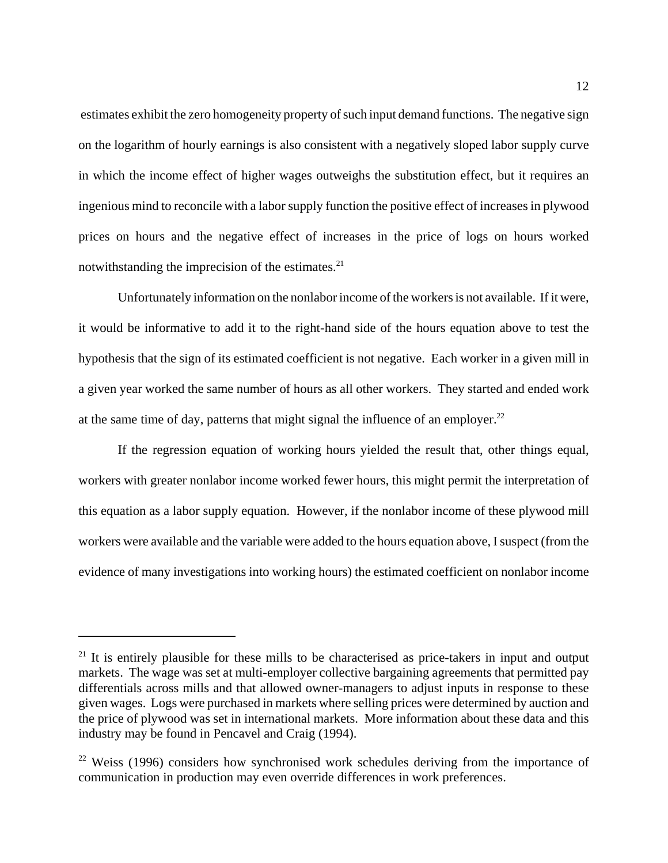estimates exhibit the zero homogeneity property of such input demand functions. The negative sign on the logarithm of hourly earnings is also consistent with a negatively sloped labor supply curve in which the income effect of higher wages outweighs the substitution effect, but it requires an ingenious mind to reconcile with a labor supply function the positive effect of increases in plywood prices on hours and the negative effect of increases in the price of logs on hours worked notwithstanding the imprecision of the estimates. $^{21}$ 

Unfortunately information on the nonlabor income of the workers is not available. If it were, it would be informative to add it to the right-hand side of the hours equation above to test the hypothesis that the sign of its estimated coefficient is not negative. Each worker in a given mill in a given year worked the same number of hours as all other workers. They started and ended work at the same time of day, patterns that might signal the influence of an employer. $^{22}$ 

If the regression equation of working hours yielded the result that, other things equal, workers with greater nonlabor income worked fewer hours, this might permit the interpretation of this equation as a labor supply equation. However, if the nonlabor income of these plywood mill workers were available and the variable were added to the hours equation above, I suspect (from the evidence of many investigations into working hours) the estimated coefficient on nonlabor income

<sup>&</sup>lt;sup>21</sup> It is entirely plausible for these mills to be characterised as price-takers in input and output markets. The wage was set at multi-employer collective bargaining agreements that permitted pay differentials across mills and that allowed owner-managers to adjust inputs in response to these given wages. Logs were purchased in markets where selling prices were determined by auction and the price of plywood was set in international markets. More information about these data and this industry may be found in Pencavel and Craig (1994).

 $22$  Weiss (1996) considers how synchronised work schedules deriving from the importance of communication in production may even override differences in work preferences.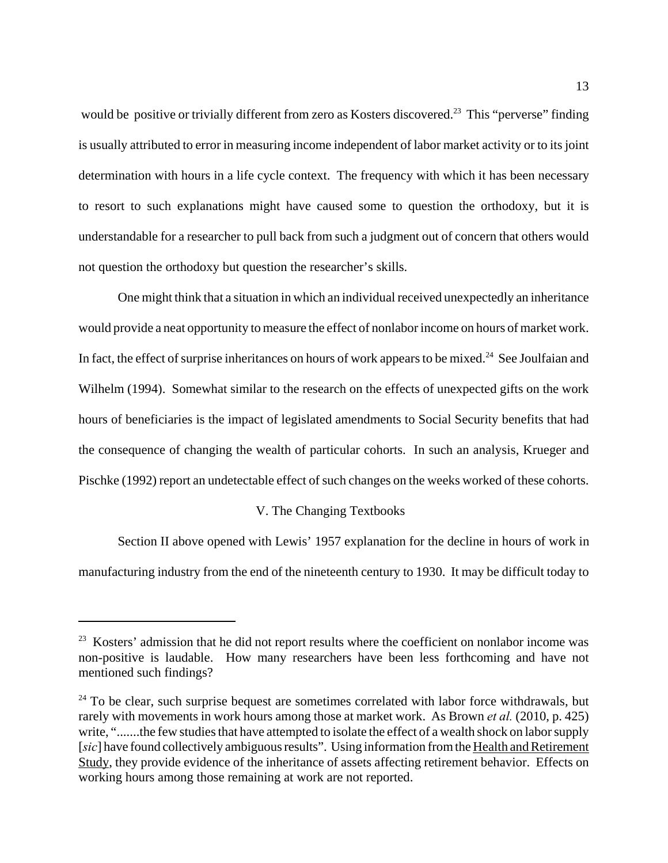would be positive or trivially different from zero as Kosters discovered.<sup>23</sup> This "perverse" finding is usually attributed to error in measuring income independent of labor market activity or to its joint determination with hours in a life cycle context. The frequency with which it has been necessary to resort to such explanations might have caused some to question the orthodoxy, but it is understandable for a researcher to pull back from such a judgment out of concern that others would not question the orthodoxy but question the researcher's skills.

One might think that a situation in which an individual received unexpectedly an inheritance would provide a neat opportunity to measure the effect of nonlabor income on hours of market work. In fact, the effect of surprise inheritances on hours of work appears to be mixed.<sup>24</sup> See Joulfaian and Wilhelm (1994). Somewhat similar to the research on the effects of unexpected gifts on the work hours of beneficiaries is the impact of legislated amendments to Social Security benefits that had the consequence of changing the wealth of particular cohorts. In such an analysis, Krueger and Pischke (1992) report an undetectable effect of such changes on the weeks worked of these cohorts.

#### V. The Changing Textbooks

Section II above opened with Lewis' 1957 explanation for the decline in hours of work in manufacturing industry from the end of the nineteenth century to 1930. It may be difficult today to

 $23$  Kosters' admission that he did not report results where the coefficient on nonlabor income was non-positive is laudable. How many researchers have been less forthcoming and have not mentioned such findings?

 $24$  To be clear, such surprise bequest are sometimes correlated with labor force withdrawals, but rarely with movements in work hours among those at market work. As Brown *et al.* (2010, p. 425) write, ".......the few studies that have attempted to isolate the effect of a wealth shock on labor supply [*sic*] have found collectively ambiguous results". Using information from the Health and Retirement Study, they provide evidence of the inheritance of assets affecting retirement behavior. Effects on working hours among those remaining at work are not reported.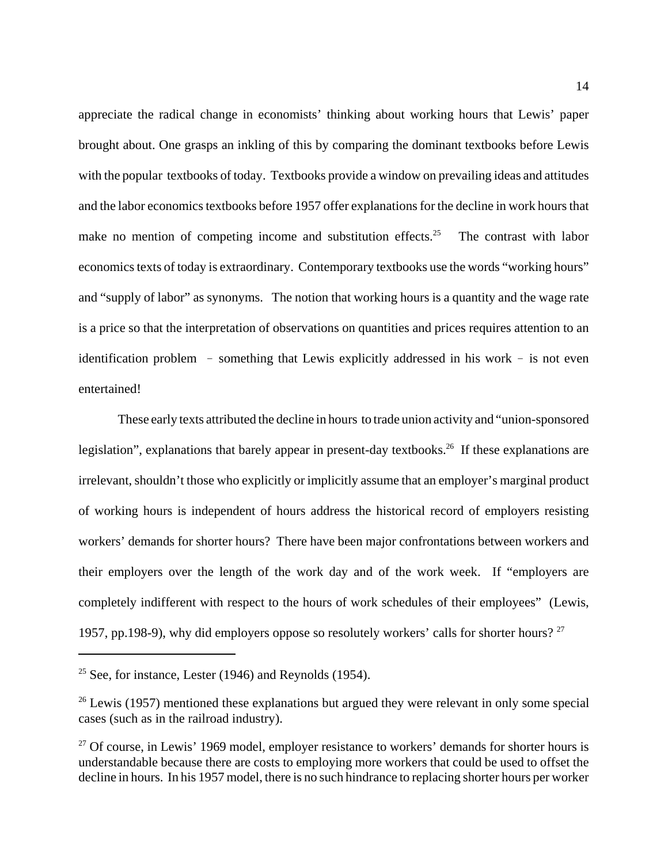appreciate the radical change in economists' thinking about working hours that Lewis' paper brought about. One grasps an inkling of this by comparing the dominant textbooks before Lewis with the popular textbooks of today. Textbooks provide a window on prevailing ideas and attitudes and the labor economics textbooks before 1957 offer explanations for the decline in work hours that make no mention of competing income and substitution effects.<sup>25</sup> The contrast with labor economics texts of today is extraordinary. Contemporary textbooks use the words "working hours" and "supply of labor" as synonyms. The notion that working hours is a quantity and the wage rate is a price so that the interpretation of observations on quantities and prices requires attention to an identification problem  $-$  something that Lewis explicitly addressed in his work  $-$  is not even entertained!

These early texts attributed the decline in hours to trade union activity and "union-sponsored legislation", explanations that barely appear in present-day textbooks.<sup>26</sup> If these explanations are irrelevant, shouldn't those who explicitly or implicitly assume that an employer's marginal product of working hours is independent of hours address the historical record of employers resisting workers' demands for shorter hours? There have been major confrontations between workers and their employers over the length of the work day and of the work week. If "employers are completely indifferent with respect to the hours of work schedules of their employees" (Lewis, 1957, pp.198-9), why did employers oppose so resolutely workers' calls for shorter hours?  $27$ 

<sup>&</sup>lt;sup>25</sup> See, for instance, Lester (1946) and Reynolds (1954).

 $26$  Lewis (1957) mentioned these explanations but argued they were relevant in only some special cases (such as in the railroad industry).

 $27$  Of course, in Lewis' 1969 model, employer resistance to workers' demands for shorter hours is understandable because there are costs to employing more workers that could be used to offset the decline in hours. In his 1957 model, there is no such hindrance to replacing shorter hours per worker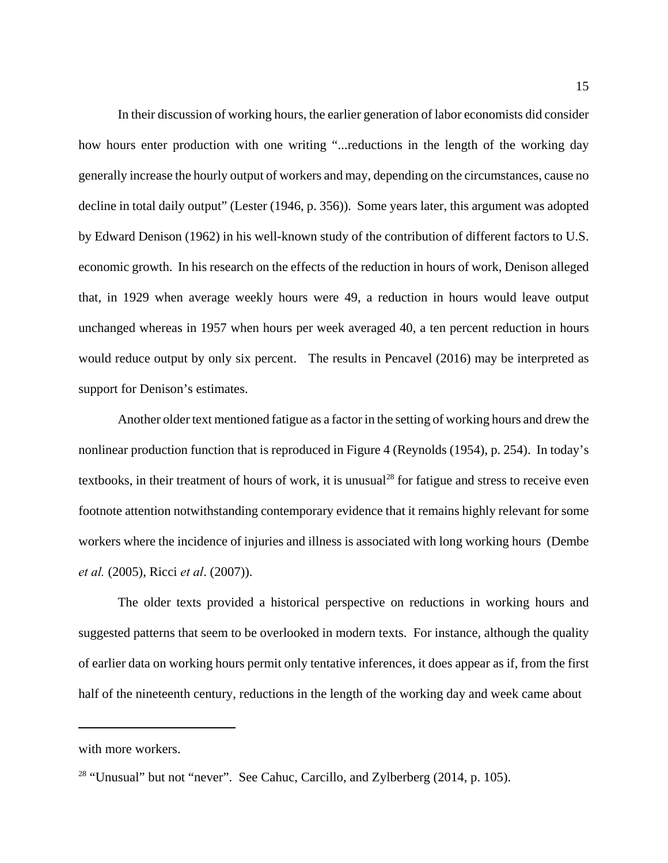In their discussion of working hours, the earlier generation of labor economists did consider how hours enter production with one writing "...reductions in the length of the working day generally increase the hourly output of workers and may, depending on the circumstances, cause no decline in total daily output" (Lester (1946, p. 356)). Some years later, this argument was adopted by Edward Denison (1962) in his well-known study of the contribution of different factors to U.S. economic growth. In his research on the effects of the reduction in hours of work, Denison alleged that, in 1929 when average weekly hours were 49, a reduction in hours would leave output unchanged whereas in 1957 when hours per week averaged 40, a ten percent reduction in hours would reduce output by only six percent. The results in Pencavel (2016) may be interpreted as support for Denison's estimates.

Another older text mentioned fatigue as a factor in the setting of working hours and drew the nonlinear production function that is reproduced in Figure 4 (Reynolds (1954), p. 254). In today's textbooks, in their treatment of hours of work, it is unusual<sup>28</sup> for fatigue and stress to receive even footnote attention notwithstanding contemporary evidence that it remains highly relevant for some workers where the incidence of injuries and illness is associated with long working hours (Dembe *et al.* (2005), Ricci *et al*. (2007)).

The older texts provided a historical perspective on reductions in working hours and suggested patterns that seem to be overlooked in modern texts. For instance, although the quality of earlier data on working hours permit only tentative inferences, it does appear as if, from the first half of the nineteenth century, reductions in the length of the working day and week came about

with more workers.

<sup>&</sup>lt;sup>28</sup> "Unusual" but not "never". See Cahuc, Carcillo, and Zylberberg  $(2014, p. 105)$ .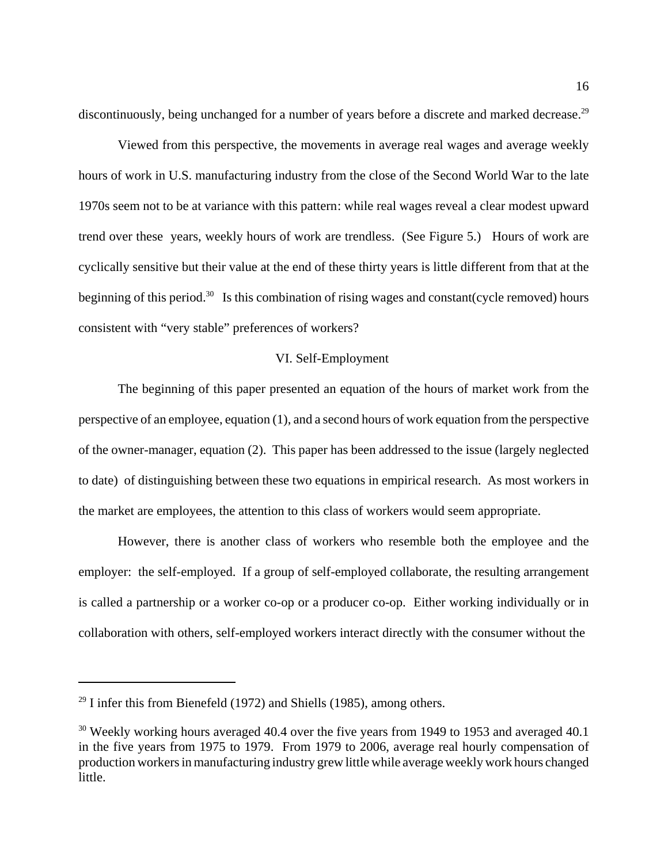discontinuously, being unchanged for a number of years before a discrete and marked decrease.<sup>29</sup>

Viewed from this perspective, the movements in average real wages and average weekly hours of work in U.S. manufacturing industry from the close of the Second World War to the late 1970s seem not to be at variance with this pattern: while real wages reveal a clear modest upward trend over these years, weekly hours of work are trendless. (See Figure 5.) Hours of work are cyclically sensitive but their value at the end of these thirty years is little different from that at the beginning of this period.<sup>30</sup> Is this combination of rising wages and constant(cycle removed) hours consistent with "very stable" preferences of workers?

#### VI. Self-Employment

The beginning of this paper presented an equation of the hours of market work from the perspective of an employee, equation (1), and a second hours of work equation from the perspective of the owner-manager, equation (2). This paper has been addressed to the issue (largely neglected to date) of distinguishing between these two equations in empirical research. As most workers in the market are employees, the attention to this class of workers would seem appropriate.

However, there is another class of workers who resemble both the employee and the employer: the self-employed. If a group of self-employed collaborate, the resulting arrangement is called a partnership or a worker co-op or a producer co-op. Either working individually or in collaboration with others, self-employed workers interact directly with the consumer without the

 $29$  I infer this from Bienefeld (1972) and Shiells (1985), among others.

 $30$  Weekly working hours averaged 40.4 over the five years from 1949 to 1953 and averaged 40.1 in the five years from 1975 to 1979. From 1979 to 2006, average real hourly compensation of production workers in manufacturing industry grew little while average weekly work hours changed little.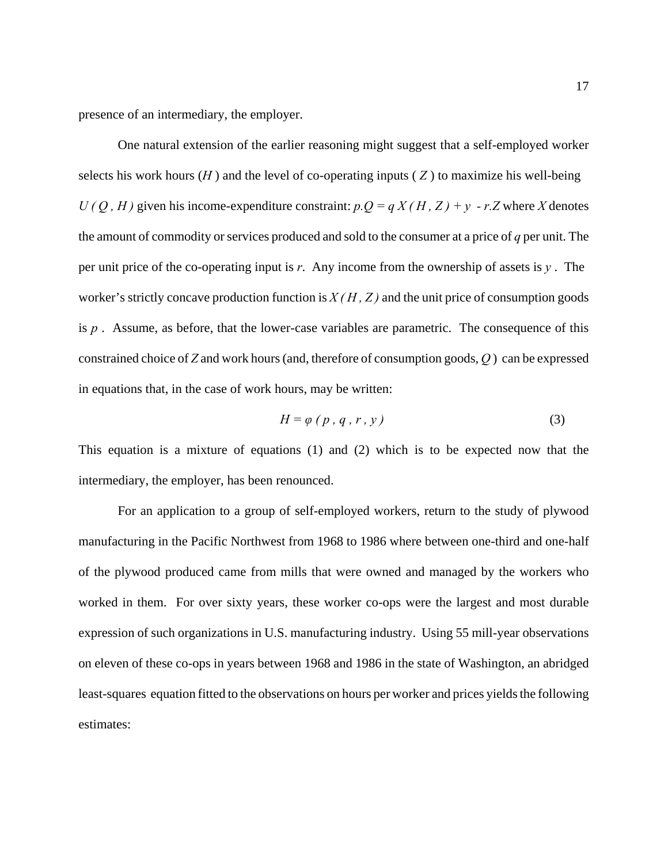presence of an intermediary, the employer.

One natural extension of the earlier reasoning might suggest that a self-employed worker selects his work hours  $(H)$  and the level of co-operating inputs  $(Z)$  to maximize his well-being  $U(Q, H)$  given his income-expenditure constraint:  $p.Q = q X(H, Z) + y - r.Z$  where *X* denotes the amount of commodity or services produced and sold to the consumer at a price of *q* per unit. The per unit price of the co-operating input is *r*. Any income from the ownership of assets is *y* . The worker's strictly concave production function is  $X(H, Z)$  and the unit price of consumption goods is *p* . Assume, as before, that the lower-case variables are parametric. The consequence of this constrained choice of *Z* and work hours (and, therefore of consumption goods, *Q* ) can be expressed in equations that, in the case of work hours, may be written:

$$
H = \varphi \left( p, q, r, y \right) \tag{3}
$$

This equation is a mixture of equations (1) and (2) which is to be expected now that the intermediary, the employer, has been renounced.

For an application to a group of self-employed workers, return to the study of plywood manufacturing in the Pacific Northwest from 1968 to 1986 where between one-third and one-half of the plywood produced came from mills that were owned and managed by the workers who worked in them. For over sixty years, these worker co-ops were the largest and most durable expression of such organizations in U.S. manufacturing industry. Using 55 mill-year observations on eleven of these co-ops in years between 1968 and 1986 in the state of Washington, an abridged least-squares equation fitted to the observations on hours per worker and prices yields the following estimates: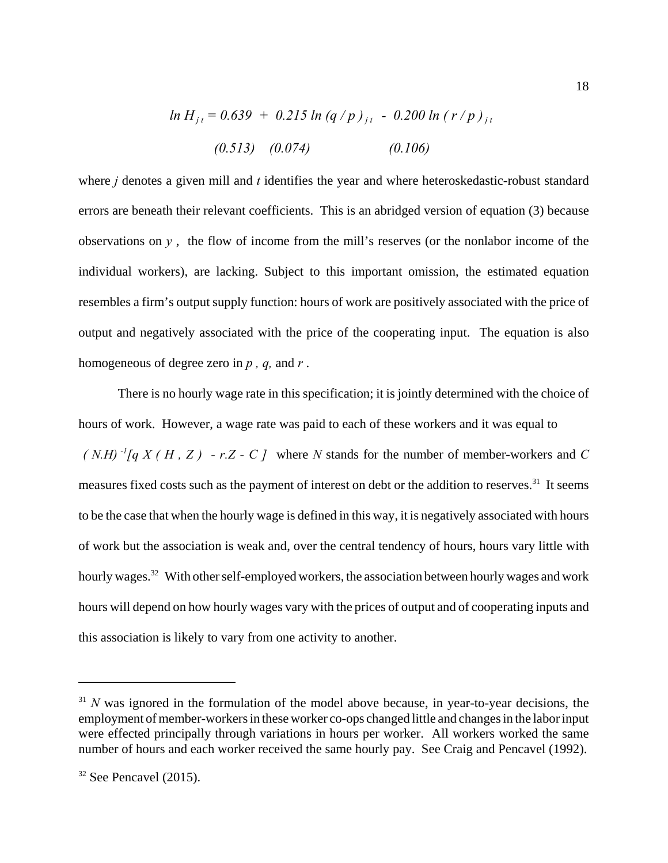$$
\ln H_{jt} = 0.639 + 0.215 \ln (q/p)_{jt} - 0.200 \ln (r/p)_{jt}
$$
  
(0.513) (0.074) (0.106)

where *j* denotes a given mill and *t* identifies the year and where heteroskedastic-robust standard errors are beneath their relevant coefficients. This is an abridged version of equation (3) because observations on  $y$ , the flow of income from the mill's reserves (or the nonlabor income of the individual workers), are lacking. Subject to this important omission, the estimated equation resembles a firm's output supply function: hours of work are positively associated with the price of output and negatively associated with the price of the cooperating input. The equation is also homogeneous of degree zero in *p , q,* and *r* .

There is no hourly wage rate in this specification; it is jointly determined with the choice of hours of work. However, a wage rate was paid to each of these workers and it was equal to  $(N.H)^{-1}[q X(H, Z) - r.Z - C]$  where *N* stands for the number of member-workers and *C* measures fixed costs such as the payment of interest on debt or the addition to reserves.<sup>31</sup> It seems to be the case that when the hourly wage is defined in this way, it is negatively associated with hours of work but the association is weak and, over the central tendency of hours, hours vary little with hourly wages.<sup>32</sup> With other self-employed workers, the association between hourly wages and work hours will depend on how hourly wages vary with the prices of output and of cooperating inputs and this association is likely to vary from one activity to another.

 $31$  *N* was ignored in the formulation of the model above because, in year-to-year decisions, the employment of member-workers in these worker co-ops changed little and changes in the labor input were effected principally through variations in hours per worker. All workers worked the same number of hours and each worker received the same hourly pay. See Craig and Pencavel (1992).

 $32$  See Pencavel (2015).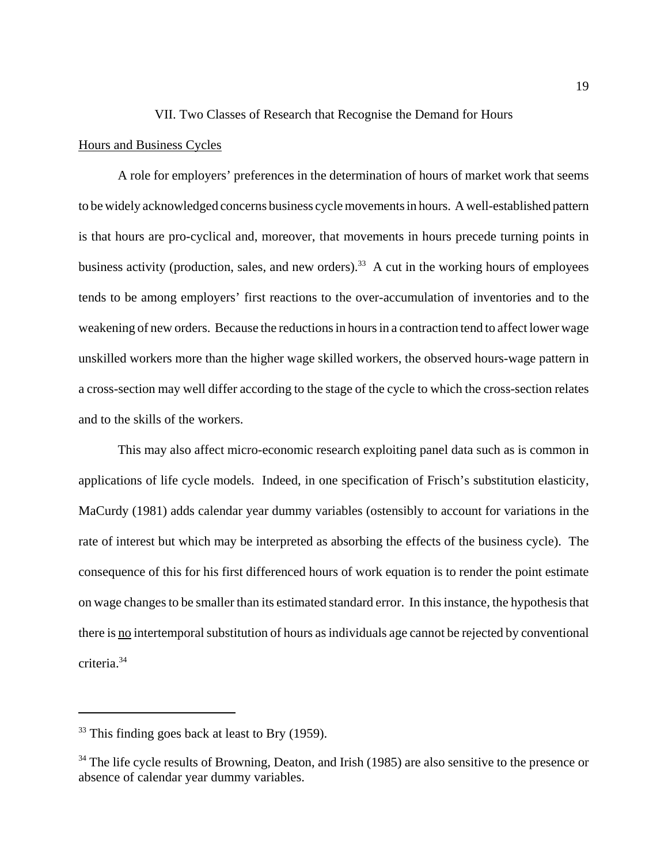#### VII. Two Classes of Research that Recognise the Demand for Hours

#### Hours and Business Cycles

A role for employers' preferences in the determination of hours of market work that seems to be widely acknowledged concerns business cycle movements in hours. A well-established pattern is that hours are pro-cyclical and, moreover, that movements in hours precede turning points in business activity (production, sales, and new orders).<sup>33</sup> A cut in the working hours of employees tends to be among employers' first reactions to the over-accumulation of inventories and to the weakening of new orders. Because the reductions in hours in a contraction tend to affect lower wage unskilled workers more than the higher wage skilled workers, the observed hours-wage pattern in a cross-section may well differ according to the stage of the cycle to which the cross-section relates and to the skills of the workers.

This may also affect micro-economic research exploiting panel data such as is common in applications of life cycle models. Indeed, in one specification of Frisch's substitution elasticity, MaCurdy (1981) adds calendar year dummy variables (ostensibly to account for variations in the rate of interest but which may be interpreted as absorbing the effects of the business cycle). The consequence of this for his first differenced hours of work equation is to render the point estimate on wage changes to be smaller than its estimated standard error. In this instance, the hypothesis that there is no intertemporal substitution of hours as individuals age cannot be rejected by conventional criteria.34

 $33$  This finding goes back at least to Bry (1959).

 $34$  The life cycle results of Browning, Deaton, and Irish (1985) are also sensitive to the presence or absence of calendar year dummy variables.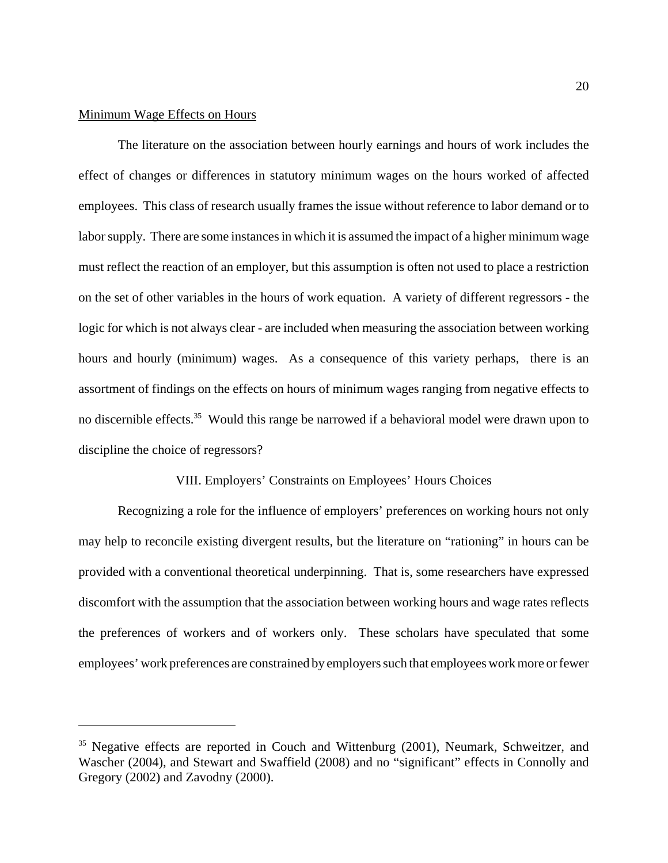#### Minimum Wage Effects on Hours

The literature on the association between hourly earnings and hours of work includes the effect of changes or differences in statutory minimum wages on the hours worked of affected employees. This class of research usually frames the issue without reference to labor demand or to labor supply. There are some instances in which it is assumed the impact of a higher minimum wage must reflect the reaction of an employer, but this assumption is often not used to place a restriction on the set of other variables in the hours of work equation. A variety of different regressors - the logic for which is not always clear - are included when measuring the association between working hours and hourly (minimum) wages. As a consequence of this variety perhaps, there is an assortment of findings on the effects on hours of minimum wages ranging from negative effects to no discernible effects.<sup>35</sup> Would this range be narrowed if a behavioral model were drawn upon to discipline the choice of regressors?

#### VIII. Employers' Constraints on Employees' Hours Choices

Recognizing a role for the influence of employers' preferences on working hours not only may help to reconcile existing divergent results, but the literature on "rationing" in hours can be provided with a conventional theoretical underpinning. That is, some researchers have expressed discomfort with the assumption that the association between working hours and wage rates reflects the preferences of workers and of workers only. These scholars have speculated that some employees' work preferences are constrained by employers such that employees work more or fewer

<sup>&</sup>lt;sup>35</sup> Negative effects are reported in Couch and Wittenburg (2001), Neumark, Schweitzer, and Wascher (2004), and Stewart and Swaffield (2008) and no "significant" effects in Connolly and Gregory (2002) and Zavodny (2000).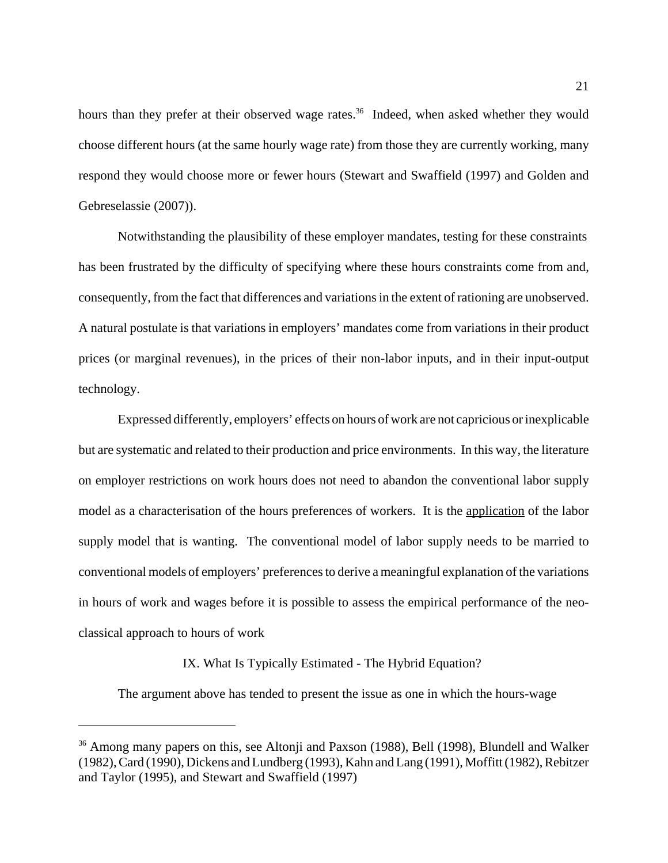hours than they prefer at their observed wage rates.<sup>36</sup> Indeed, when asked whether they would choose different hours (at the same hourly wage rate) from those they are currently working, many respond they would choose more or fewer hours (Stewart and Swaffield (1997) and Golden and Gebreselassie (2007)).

Notwithstanding the plausibility of these employer mandates, testing for these constraints has been frustrated by the difficulty of specifying where these hours constraints come from and, consequently, from the fact that differences and variations in the extent of rationing are unobserved. A natural postulate is that variations in employers' mandates come from variations in their product prices (or marginal revenues), in the prices of their non-labor inputs, and in their input-output technology.

Expressed differently, employers' effects on hours of work are not capricious or inexplicable but are systematic and related to their production and price environments. In this way, the literature on employer restrictions on work hours does not need to abandon the conventional labor supply model as a characterisation of the hours preferences of workers. It is the application of the labor supply model that is wanting. The conventional model of labor supply needs to be married to conventional models of employers' preferences to derive a meaningful explanation of the variations in hours of work and wages before it is possible to assess the empirical performance of the neoclassical approach to hours of work

#### IX. What Is Typically Estimated - The Hybrid Equation?

The argument above has tended to present the issue as one in which the hours-wage

<sup>&</sup>lt;sup>36</sup> Among many papers on this, see Altonji and Paxson (1988), Bell (1998), Blundell and Walker (1982), Card (1990), Dickens and Lundberg (1993), Kahn and Lang (1991), Moffitt (1982), Rebitzer and Taylor (1995), and Stewart and Swaffield (1997)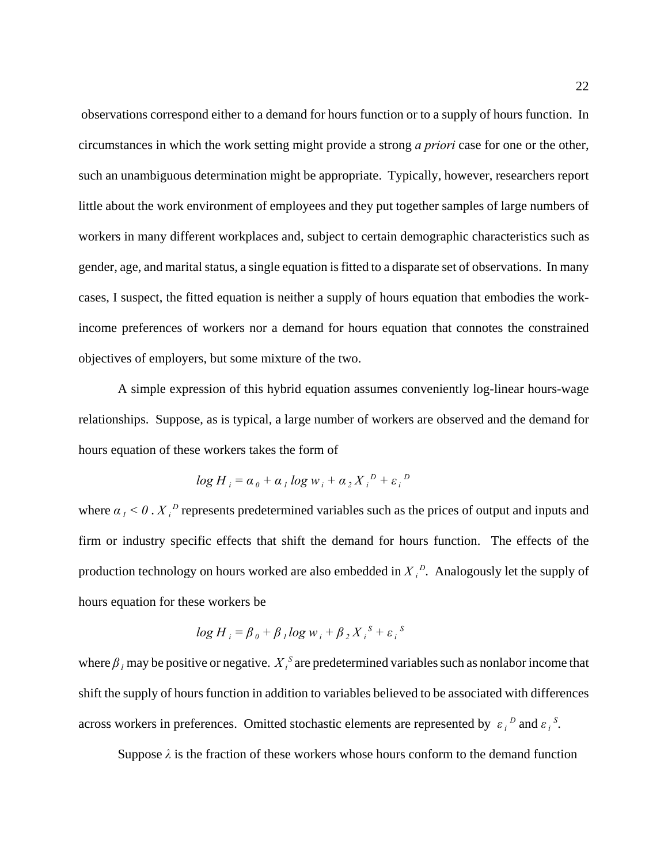observations correspond either to a demand for hours function or to a supply of hours function. In circumstances in which the work setting might provide a strong *a priori* case for one or the other, such an unambiguous determination might be appropriate. Typically, however, researchers report little about the work environment of employees and they put together samples of large numbers of workers in many different workplaces and, subject to certain demographic characteristics such as gender, age, and marital status, a single equation is fitted to a disparate set of observations. In many cases, I suspect, the fitted equation is neither a supply of hours equation that embodies the workincome preferences of workers nor a demand for hours equation that connotes the constrained objectives of employers, but some mixture of the two.

A simple expression of this hybrid equation assumes conveniently log-linear hours-wage relationships. Suppose, as is typical, a large number of workers are observed and the demand for hours equation of these workers takes the form of

$$
\log H_i = \alpha_0 + \alpha_1 \log w_i + \alpha_2 X_i^D + \varepsilon_i^D
$$

where  $\alpha_I < 0$ .  $X_I^D$  represents predetermined variables such as the prices of output and inputs and firm or industry specific effects that shift the demand for hours function. The effects of the production technology on hours worked are also embedded in  $X_i^D$ . Analogously let the supply of hours equation for these workers be

$$
\log H_i = \beta_0 + \beta_1 \log w_i + \beta_2 X_i^S + \varepsilon_i^S
$$

where  $\beta<sub>1</sub>$  may be positive or negative.  $X<sub>i</sub><sup>S</sup>$  are predetermined variables such as nonlabor income that shift the supply of hours function in addition to variables believed to be associated with differences across workers in preferences. Omitted stochastic elements are represented by  $\varepsilon_i^D$  and  $\varepsilon_i^S$ .

Suppose  $\lambda$  is the fraction of these workers whose hours conform to the demand function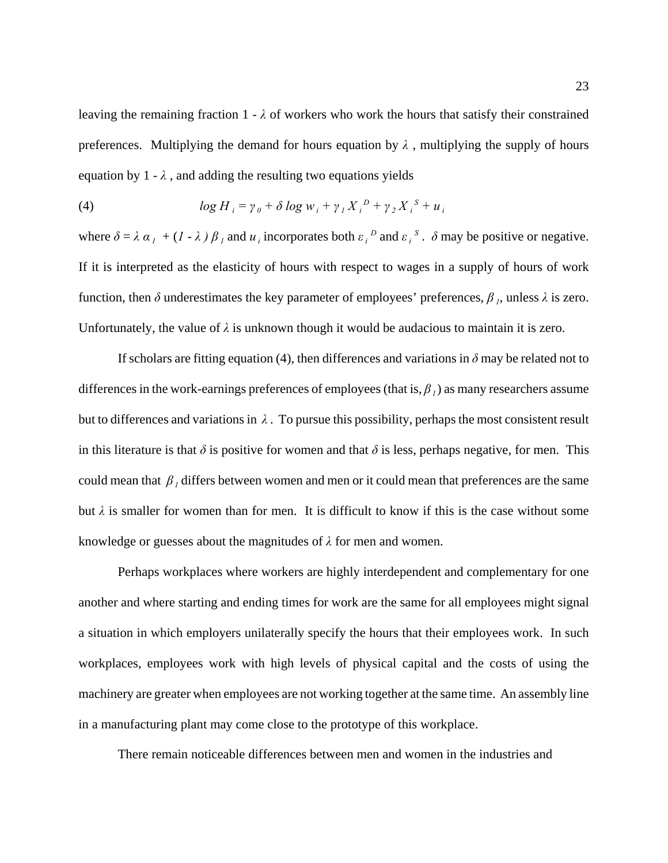leaving the remaining fraction  $1 - \lambda$  of workers who work the hours that satisfy their constrained preferences. Multiplying the demand for hours equation by  $\lambda$ , multiplying the supply of hours equation by  $1 - \lambda$ , and adding the resulting two equations yields

(4) 
$$
\log H_{i} = \gamma_{0} + \delta \log w_{i} + \gamma_{1} X_{i}^{D} + \gamma_{2} X_{i}^{S} + u_{i}
$$

where  $\delta = \lambda \alpha_1 + (I - \lambda) \beta_1$  and  $u_i$  incorporates both  $\varepsilon_i^D$  and  $\varepsilon_i^S$ .  $\delta$  may be positive or negative. If it is interpreted as the elasticity of hours with respect to wages in a supply of hours of work function, then  $\delta$  underestimates the key parameter of employees' preferences,  $\beta$ <sub>*i*</sub>, unless  $\lambda$  is zero. Unfortunately, the value of  $\lambda$  is unknown though it would be audacious to maintain it is zero.

If scholars are fitting equation (4), then differences and variations in  $\delta$  may be related not to differences in the work-earnings preferences of employees (that is,  $\beta_l$ ) as many researchers assume but to differences and variations in  $\lambda$ . To pursue this possibility, perhaps the most consistent result in this literature is that  $\delta$  is positive for women and that  $\delta$  is less, perhaps negative, for men. This could mean that  $\beta$ <sub>*l*</sub> differs between women and men or it could mean that preferences are the same but  $\lambda$  is smaller for women than for men. It is difficult to know if this is the case without some knowledge or guesses about the magnitudes of *λ* for men and women.

Perhaps workplaces where workers are highly interdependent and complementary for one another and where starting and ending times for work are the same for all employees might signal a situation in which employers unilaterally specify the hours that their employees work. In such workplaces, employees work with high levels of physical capital and the costs of using the machinery are greater when employees are not working together at the same time. An assembly line in a manufacturing plant may come close to the prototype of this workplace.

There remain noticeable differences between men and women in the industries and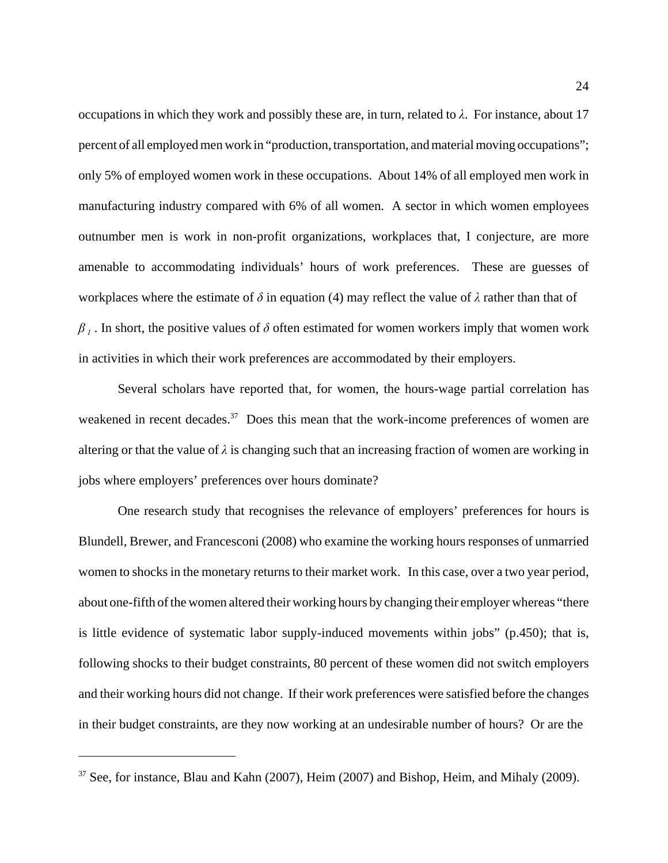occupations in which they work and possibly these are, in turn, related to *λ*. For instance, about 17 percent of all employed men work in "production, transportation, and material moving occupations"; only 5% of employed women work in these occupations. About 14% of all employed men work in manufacturing industry compared with 6% of all women. A sector in which women employees outnumber men is work in non-profit organizations, workplaces that, I conjecture, are more amenable to accommodating individuals' hours of work preferences. These are guesses of workplaces where the estimate of *δ* in equation (4) may reflect the value of *λ* rather than that of  $\beta$ <sub>*I*</sub>. In short, the positive values of  $\delta$  often estimated for women workers imply that women work in activities in which their work preferences are accommodated by their employers.

Several scholars have reported that, for women, the hours-wage partial correlation has weakened in recent decades.<sup>37</sup> Does this mean that the work-income preferences of women are altering or that the value of  $\lambda$  is changing such that an increasing fraction of women are working in jobs where employers' preferences over hours dominate?

One research study that recognises the relevance of employers' preferences for hours is Blundell, Brewer, and Francesconi (2008) who examine the working hours responses of unmarried women to shocks in the monetary returns to their market work. In this case, over a two year period, about one-fifth of the women altered their working hours by changing their employer whereas "there is little evidence of systematic labor supply-induced movements within jobs" (p.450); that is, following shocks to their budget constraints, 80 percent of these women did not switch employers and their working hours did not change. If their work preferences were satisfied before the changes in their budget constraints, are they now working at an undesirable number of hours? Or are the

 $37$  See, for instance, Blau and Kahn (2007), Heim (2007) and Bishop, Heim, and Mihaly (2009).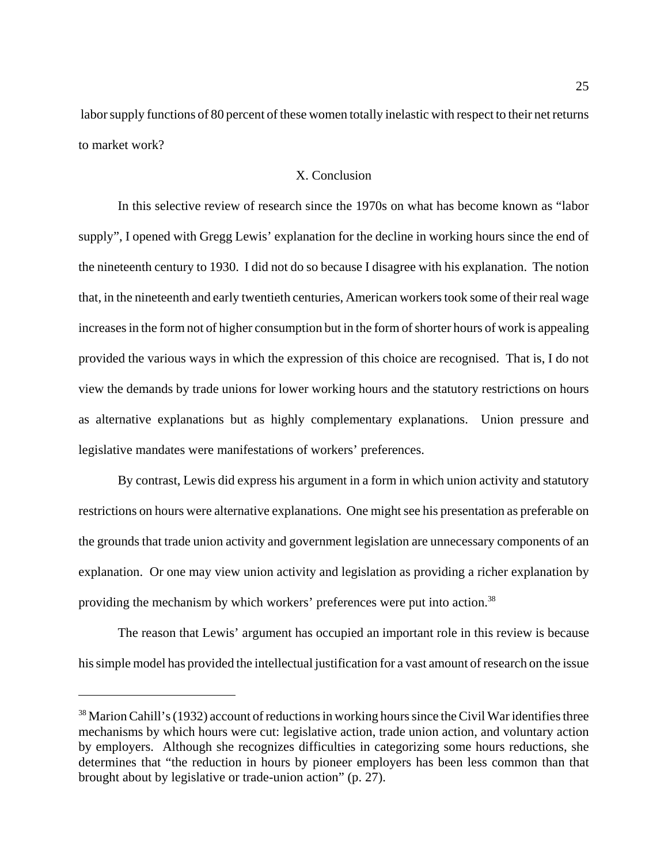labor supply functions of 80 percent of these women totally inelastic with respect to their net returns to market work?

#### X. Conclusion

In this selective review of research since the 1970s on what has become known as "labor supply", I opened with Gregg Lewis' explanation for the decline in working hours since the end of the nineteenth century to 1930. I did not do so because I disagree with his explanation. The notion that, in the nineteenth and early twentieth centuries, American workers took some of their real wage increases in the form not of higher consumption but in the form of shorter hours of work is appealing provided the various ways in which the expression of this choice are recognised. That is, I do not view the demands by trade unions for lower working hours and the statutory restrictions on hours as alternative explanations but as highly complementary explanations. Union pressure and legislative mandates were manifestations of workers' preferences.

By contrast, Lewis did express his argument in a form in which union activity and statutory restrictions on hours were alternative explanations. One might see his presentation as preferable on the grounds that trade union activity and government legislation are unnecessary components of an explanation. Or one may view union activity and legislation as providing a richer explanation by providing the mechanism by which workers' preferences were put into action.<sup>38</sup>

The reason that Lewis' argument has occupied an important role in this review is because his simple model has provided the intellectual justification for a vast amount of research on the issue

<sup>&</sup>lt;sup>38</sup> Marion Cahill's (1932) account of reductions in working hours since the Civil War identifies three mechanisms by which hours were cut: legislative action, trade union action, and voluntary action by employers. Although she recognizes difficulties in categorizing some hours reductions, she determines that "the reduction in hours by pioneer employers has been less common than that brought about by legislative or trade-union action" (p. 27).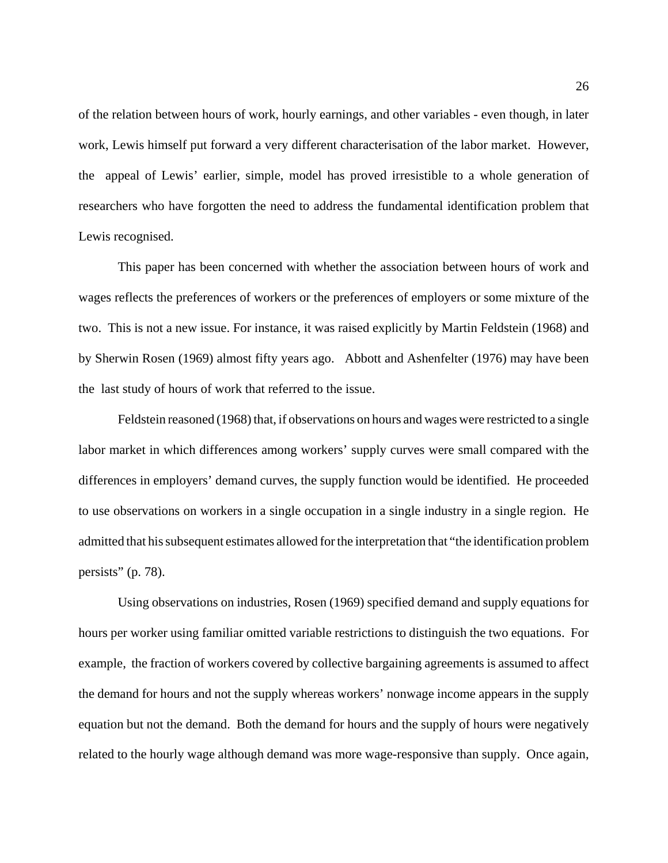of the relation between hours of work, hourly earnings, and other variables - even though, in later work, Lewis himself put forward a very different characterisation of the labor market. However, the appeal of Lewis' earlier, simple, model has proved irresistible to a whole generation of researchers who have forgotten the need to address the fundamental identification problem that Lewis recognised.

This paper has been concerned with whether the association between hours of work and wages reflects the preferences of workers or the preferences of employers or some mixture of the two. This is not a new issue. For instance, it was raised explicitly by Martin Feldstein (1968) and by Sherwin Rosen (1969) almost fifty years ago. Abbott and Ashenfelter (1976) may have been the last study of hours of work that referred to the issue.

Feldstein reasoned (1968) that, if observations on hours and wages were restricted to a single labor market in which differences among workers' supply curves were small compared with the differences in employers' demand curves, the supply function would be identified. He proceeded to use observations on workers in a single occupation in a single industry in a single region. He admitted that his subsequent estimates allowed for the interpretation that "the identification problem persists" (p. 78).

Using observations on industries, Rosen (1969) specified demand and supply equations for hours per worker using familiar omitted variable restrictions to distinguish the two equations. For example, the fraction of workers covered by collective bargaining agreements is assumed to affect the demand for hours and not the supply whereas workers' nonwage income appears in the supply equation but not the demand. Both the demand for hours and the supply of hours were negatively related to the hourly wage although demand was more wage-responsive than supply. Once again,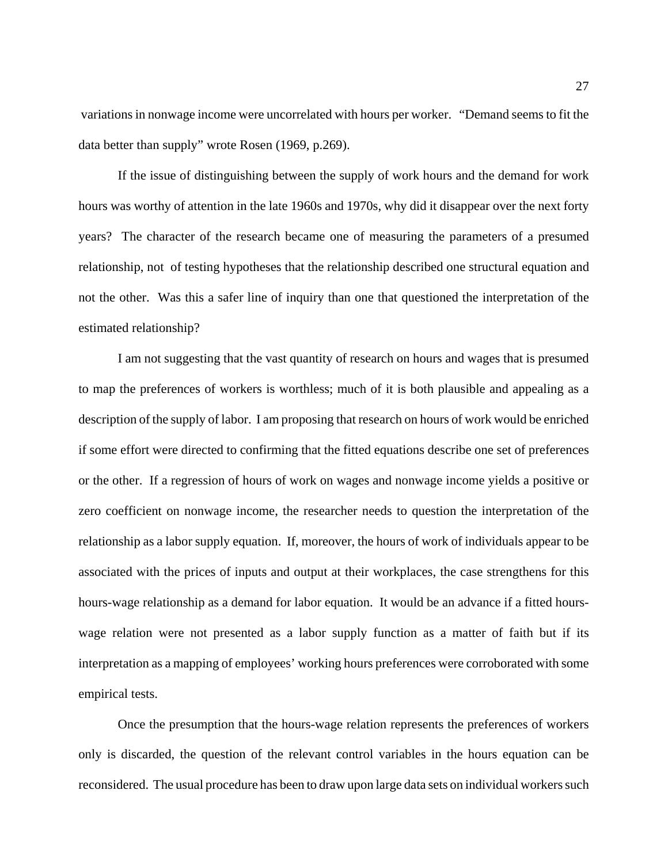variations in nonwage income were uncorrelated with hours per worker. "Demand seems to fit the data better than supply" wrote Rosen (1969, p.269).

If the issue of distinguishing between the supply of work hours and the demand for work hours was worthy of attention in the late 1960s and 1970s, why did it disappear over the next forty years? The character of the research became one of measuring the parameters of a presumed relationship, not of testing hypotheses that the relationship described one structural equation and not the other. Was this a safer line of inquiry than one that questioned the interpretation of the estimated relationship?

I am not suggesting that the vast quantity of research on hours and wages that is presumed to map the preferences of workers is worthless; much of it is both plausible and appealing as a description of the supply of labor. I am proposing that research on hours of work would be enriched if some effort were directed to confirming that the fitted equations describe one set of preferences or the other. If a regression of hours of work on wages and nonwage income yields a positive or zero coefficient on nonwage income, the researcher needs to question the interpretation of the relationship as a labor supply equation. If, moreover, the hours of work of individuals appear to be associated with the prices of inputs and output at their workplaces, the case strengthens for this hours-wage relationship as a demand for labor equation. It would be an advance if a fitted hourswage relation were not presented as a labor supply function as a matter of faith but if its interpretation as a mapping of employees' working hours preferences were corroborated with some empirical tests.

Once the presumption that the hours-wage relation represents the preferences of workers only is discarded, the question of the relevant control variables in the hours equation can be reconsidered. The usual procedure has been to draw upon large data sets on individual workers such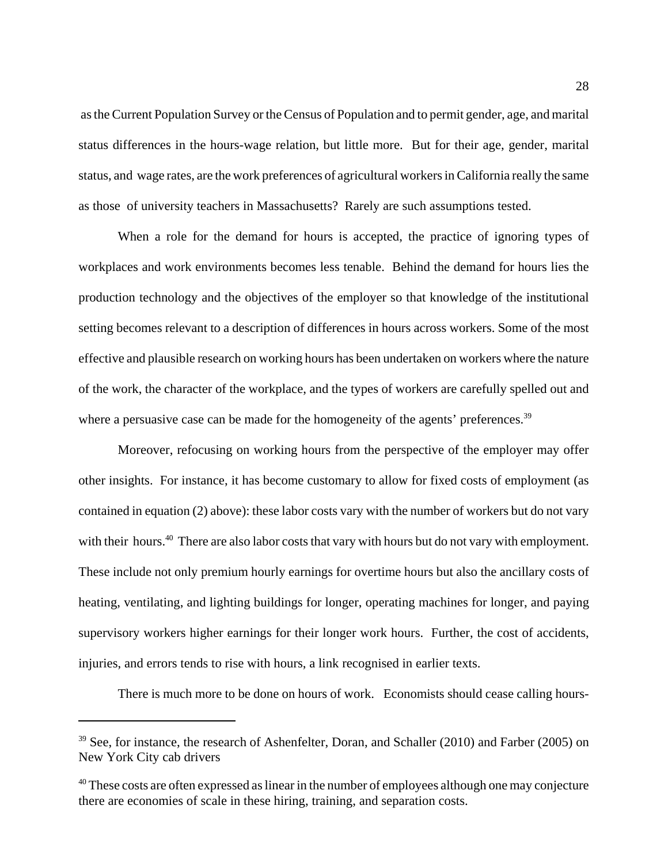as the Current Population Survey or the Census of Population and to permit gender, age, and marital status differences in the hours-wage relation, but little more. But for their age, gender, marital status, and wage rates, are the work preferences of agricultural workers in California really the same as those of university teachers in Massachusetts? Rarely are such assumptions tested.

When a role for the demand for hours is accepted, the practice of ignoring types of workplaces and work environments becomes less tenable. Behind the demand for hours lies the production technology and the objectives of the employer so that knowledge of the institutional setting becomes relevant to a description of differences in hours across workers. Some of the most effective and plausible research on working hours has been undertaken on workers where the nature of the work, the character of the workplace, and the types of workers are carefully spelled out and where a persuasive case can be made for the homogeneity of the agents' preferences.<sup>39</sup>

Moreover, refocusing on working hours from the perspective of the employer may offer other insights. For instance, it has become customary to allow for fixed costs of employment (as contained in equation (2) above): these labor costs vary with the number of workers but do not vary with their hours.<sup>40</sup> There are also labor costs that vary with hours but do not vary with employment. These include not only premium hourly earnings for overtime hours but also the ancillary costs of heating, ventilating, and lighting buildings for longer, operating machines for longer, and paying supervisory workers higher earnings for their longer work hours. Further, the cost of accidents, injuries, and errors tends to rise with hours, a link recognised in earlier texts.

There is much more to be done on hours of work. Economists should cease calling hours-

<sup>&</sup>lt;sup>39</sup> See, for instance, the research of Ashenfelter, Doran, and Schaller (2010) and Farber (2005) on New York City cab drivers

<sup>&</sup>lt;sup>40</sup> These costs are often expressed as linear in the number of employees although one may conjecture there are economies of scale in these hiring, training, and separation costs.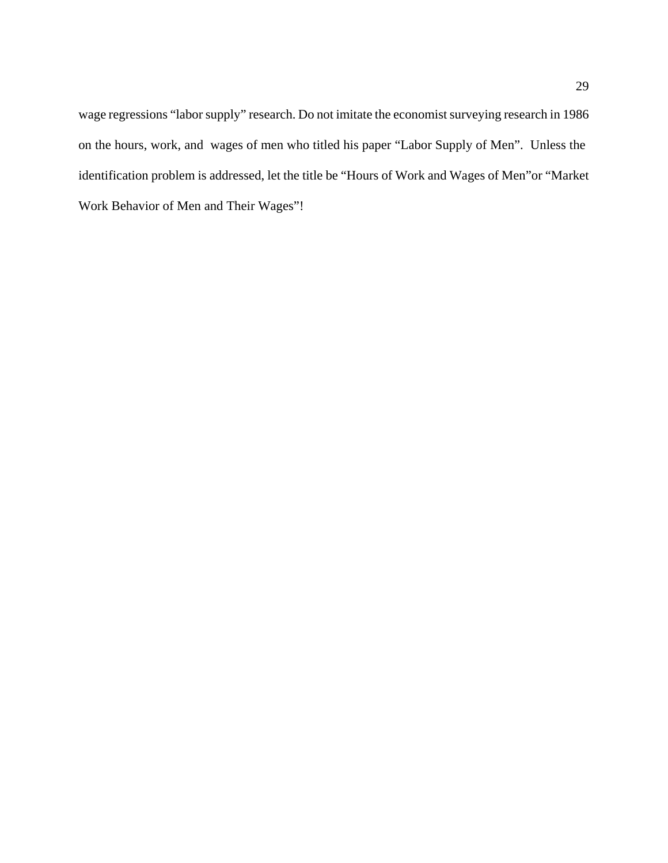wage regressions "labor supply" research. Do not imitate the economist surveying research in 1986 on the hours, work, and wages of men who titled his paper "Labor Supply of Men". Unless the identification problem is addressed, let the title be "Hours of Work and Wages of Men"or "Market Work Behavior of Men and Their Wages"!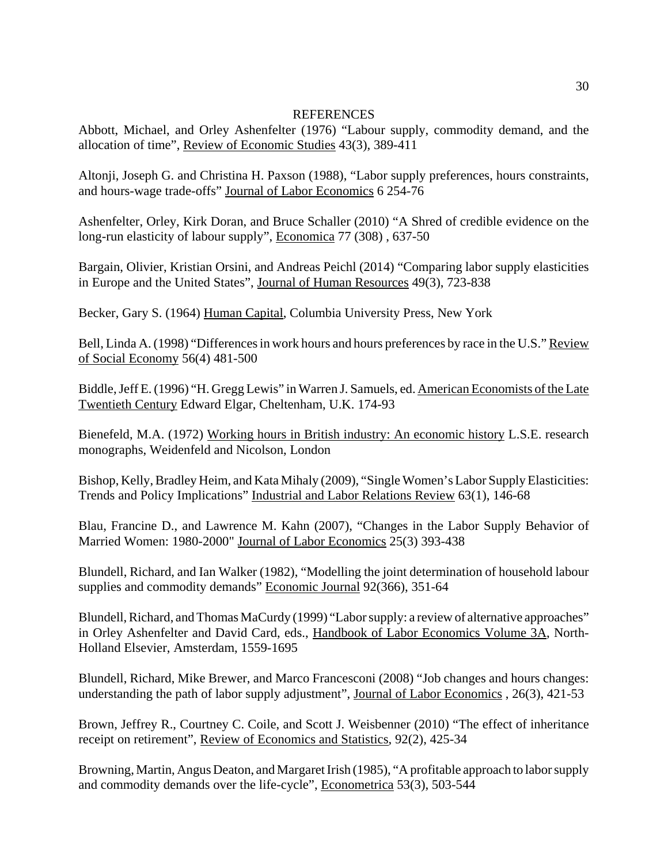#### **REFERENCES**

Abbott, Michael, and Orley Ashenfelter (1976) "Labour supply, commodity demand, and the allocation of time", Review of Economic Studies 43(3), 389-411

Altonji, Joseph G. and Christina H. Paxson (1988), "Labor supply preferences, hours constraints, and hours-wage trade-offs" Journal of Labor Economics 6 254-76

Ashenfelter, Orley, Kirk Doran, and Bruce Schaller (2010) "A Shred of credible evidence on the long-run elasticity of labour supply", Economica 77 (308) , 637-50

Bargain, Olivier, Kristian Orsini, and Andreas Peichl (2014) "Comparing labor supply elasticities in Europe and the United States", Journal of Human Resources 49(3), 723-838

Becker, Gary S. (1964) Human Capital, Columbia University Press, New York

Bell, Linda A. (1998) "Differences in work hours and hours preferences by race in the U.S." Review of Social Economy 56(4) 481-500

Biddle, Jeff E. (1996) "H. Gregg Lewis" in Warren J. Samuels, ed. American Economists of the Late Twentieth Century Edward Elgar, Cheltenham, U.K. 174-93

Bienefeld, M.A. (1972) Working hours in British industry: An economic history L.S.E. research monographs, Weidenfeld and Nicolson, London

Bishop, Kelly, Bradley Heim, and Kata Mihaly (2009), "Single Women's Labor Supply Elasticities: Trends and Policy Implications" Industrial and Labor Relations Review 63(1), 146-68

Blau, Francine D., and Lawrence M. Kahn (2007), "Changes in the Labor Supply Behavior of Married Women: 1980-2000" Journal of Labor Economics 25(3) 393-438

Blundell, Richard, and Ian Walker (1982), "Modelling the joint determination of household labour supplies and commodity demands" Economic Journal 92(366), 351-64

Blundell, Richard, and Thomas MaCurdy (1999) "Labor supply: a review of alternative approaches" in Orley Ashenfelter and David Card, eds., Handbook of Labor Economics Volume 3A, North-Holland Elsevier, Amsterdam, 1559-1695

Blundell, Richard, Mike Brewer, and Marco Francesconi (2008) "Job changes and hours changes: understanding the path of labor supply adjustment", Journal of Labor Economics, 26(3), 421-53

Brown, Jeffrey R., Courtney C. Coile, and Scott J. Weisbenner (2010) "The effect of inheritance receipt on retirement", Review of Economics and Statistics, 92(2), 425-34

Browning, Martin, Angus Deaton, and Margaret Irish (1985), "A profitable approach to labor supply and commodity demands over the life-cycle", Econometrica 53(3), 503-544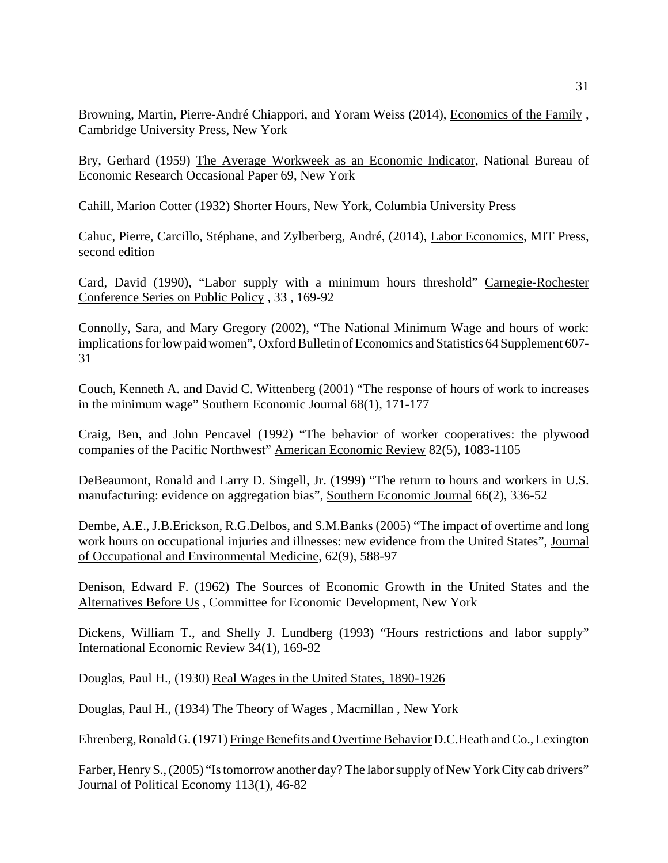Browning, Martin, Pierre-André Chiappori, and Yoram Weiss (2014), Economics of the Family , Cambridge University Press, New York

Bry, Gerhard (1959) The Average Workweek as an Economic Indicator, National Bureau of Economic Research Occasional Paper 69, New York

Cahill, Marion Cotter (1932) Shorter Hours, New York, Columbia University Press

Cahuc, Pierre, Carcillo, Stéphane, and Zylberberg, André, (2014), Labor Economics, MIT Press, second edition

Card, David (1990), "Labor supply with a minimum hours threshold" Carnegie-Rochester Conference Series on Public Policy , 33 , 169-92

Connolly, Sara, and Mary Gregory (2002), "The National Minimum Wage and hours of work: implications for low paid women", Oxford Bulletin of Economics and Statistics 64 Supplement 607- 31

Couch, Kenneth A. and David C. Wittenberg (2001) "The response of hours of work to increases in the minimum wage" Southern Economic Journal 68(1), 171-177

Craig, Ben, and John Pencavel (1992) "The behavior of worker cooperatives: the plywood companies of the Pacific Northwest" American Economic Review 82(5), 1083-1105

DeBeaumont, Ronald and Larry D. Singell, Jr. (1999) "The return to hours and workers in U.S. manufacturing: evidence on aggregation bias", Southern Economic Journal 66(2), 336-52

Dembe, A.E., J.B.Erickson, R.G.Delbos, and S.M.Banks (2005) "The impact of overtime and long work hours on occupational injuries and illnesses: new evidence from the United States", Journal of Occupational and Environmental Medicine, 62(9), 588-97

Denison, Edward F. (1962) The Sources of Economic Growth in the United States and the Alternatives Before Us , Committee for Economic Development, New York

Dickens, William T., and Shelly J. Lundberg (1993) "Hours restrictions and labor supply" International Economic Review 34(1), 169-92

Douglas, Paul H., (1930) Real Wages in the United States, 1890-1926

Douglas, Paul H., (1934) The Theory of Wages , Macmillan , New York

Ehrenberg, Ronald G. (1971) Fringe Benefits and Overtime Behavior D.C.Heath and Co., Lexington

Farber, Henry S., (2005) "Is tomorrow another day? The labor supply of New York City cab drivers" Journal of Political Economy 113(1), 46-82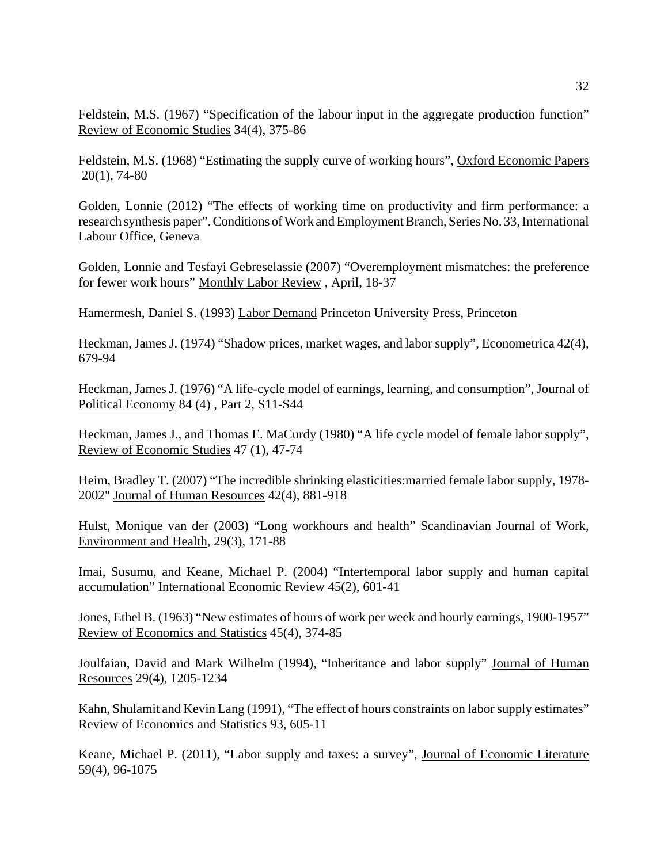Feldstein, M.S. (1967) "Specification of the labour input in the aggregate production function" Review of Economic Studies 34(4), 375-86

Feldstein, M.S. (1968) "Estimating the supply curve of working hours", Oxford Economic Papers 20(1), 74-80

Golden, Lonnie (2012) "The effects of working time on productivity and firm performance: a research synthesis paper". Conditions of Work and Employment Branch, Series No. 33, International Labour Office, Geneva

Golden, Lonnie and Tesfayi Gebreselassie (2007) "Overemployment mismatches: the preference for fewer work hours" Monthly Labor Review , April, 18-37

Hamermesh, Daniel S. (1993) Labor Demand Princeton University Press, Princeton

Heckman, James J. (1974) "Shadow prices, market wages, and labor supply", Econometrica 42(4), 679-94

Heckman, James J. (1976) "A life-cycle model of earnings, learning, and consumption", Journal of Political Economy 84 (4) , Part 2, S11-S44

Heckman, James J., and Thomas E. MaCurdy (1980) "A life cycle model of female labor supply", Review of Economic Studies 47 (1), 47-74

Heim, Bradley T. (2007) "The incredible shrinking elasticities:married female labor supply, 1978- 2002" Journal of Human Resources 42(4), 881-918

Hulst, Monique van der (2003) "Long workhours and health" Scandinavian Journal of Work, Environment and Health, 29(3), 171-88

Imai, Susumu, and Keane, Michael P. (2004) "Intertemporal labor supply and human capital accumulation" International Economic Review 45(2), 601-41

Jones, Ethel B. (1963) "New estimates of hours of work per week and hourly earnings, 1900-1957" Review of Economics and Statistics 45(4), 374-85

Joulfaian, David and Mark Wilhelm (1994), "Inheritance and labor supply" Journal of Human Resources 29(4), 1205-1234

Kahn, Shulamit and Kevin Lang (1991), "The effect of hours constraints on labor supply estimates" Review of Economics and Statistics 93, 605-11

Keane, Michael P. (2011), "Labor supply and taxes: a survey", Journal of Economic Literature 59(4), 96-1075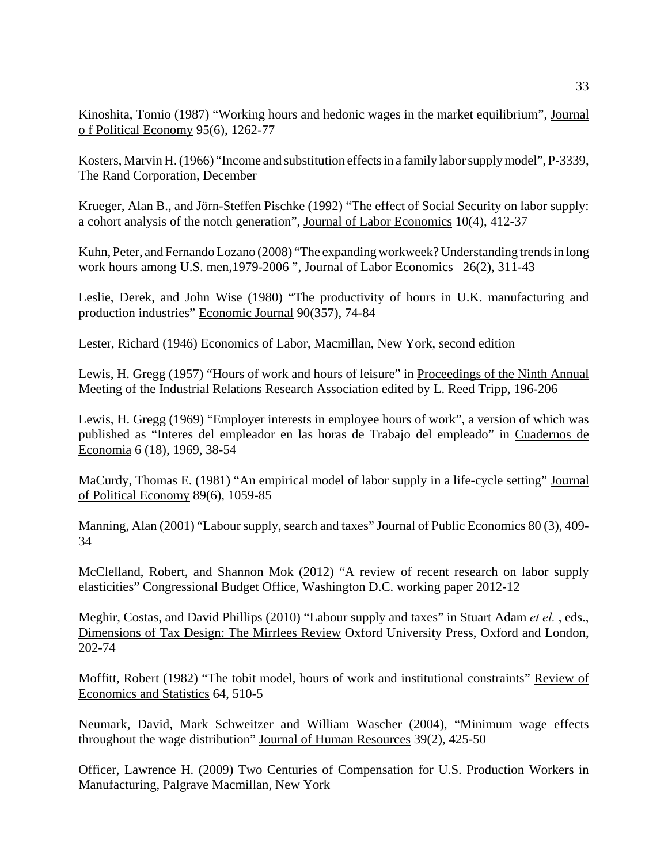Kinoshita, Tomio (1987) "Working hours and hedonic wages in the market equilibrium", Journal o f Political Economy 95(6), 1262-77

Kosters, Marvin H. (1966) "Income and substitution effects in a family labor supply model", P-3339, The Rand Corporation, December

Krueger, Alan B., and Jörn-Steffen Pischke (1992) "The effect of Social Security on labor supply: a cohort analysis of the notch generation", Journal of Labor Economics 10(4), 412-37

Kuhn, Peter, and Fernando Lozano (2008) "The expanding workweek? Understanding trends in long work hours among U.S. men,1979-2006 ", Journal of Labor Economics 26(2), 311-43

Leslie, Derek, and John Wise (1980) "The productivity of hours in U.K. manufacturing and production industries" Economic Journal 90(357), 74-84

Lester, Richard (1946) Economics of Labor, Macmillan, New York, second edition

Lewis, H. Gregg (1957) "Hours of work and hours of leisure" in Proceedings of the Ninth Annual Meeting of the Industrial Relations Research Association edited by L. Reed Tripp, 196-206

Lewis, H. Gregg (1969) "Employer interests in employee hours of work", a version of which was published as "Interes del empleador en las horas de Trabajo del empleado" in Cuadernos de Economia 6 (18), 1969, 38-54

MaCurdy, Thomas E. (1981) "An empirical model of labor supply in a life-cycle setting" Journal of Political Economy 89(6), 1059-85

Manning, Alan (2001) "Labour supply, search and taxes" Journal of Public Economics 80 (3), 409-34

McClelland, Robert, and Shannon Mok (2012) "A review of recent research on labor supply elasticities" Congressional Budget Office, Washington D.C. working paper 2012-12

Meghir, Costas, and David Phillips (2010) "Labour supply and taxes" in Stuart Adam *et el.* , eds., Dimensions of Tax Design: The Mirrlees Review Oxford University Press, Oxford and London, 202-74

Moffitt, Robert (1982) "The tobit model, hours of work and institutional constraints" Review of Economics and Statistics 64, 510-5

Neumark, David, Mark Schweitzer and William Wascher (2004), "Minimum wage effects throughout the wage distribution" Journal of Human Resources 39(2), 425-50

Officer, Lawrence H. (2009) Two Centuries of Compensation for U.S. Production Workers in Manufacturing, Palgrave Macmillan, New York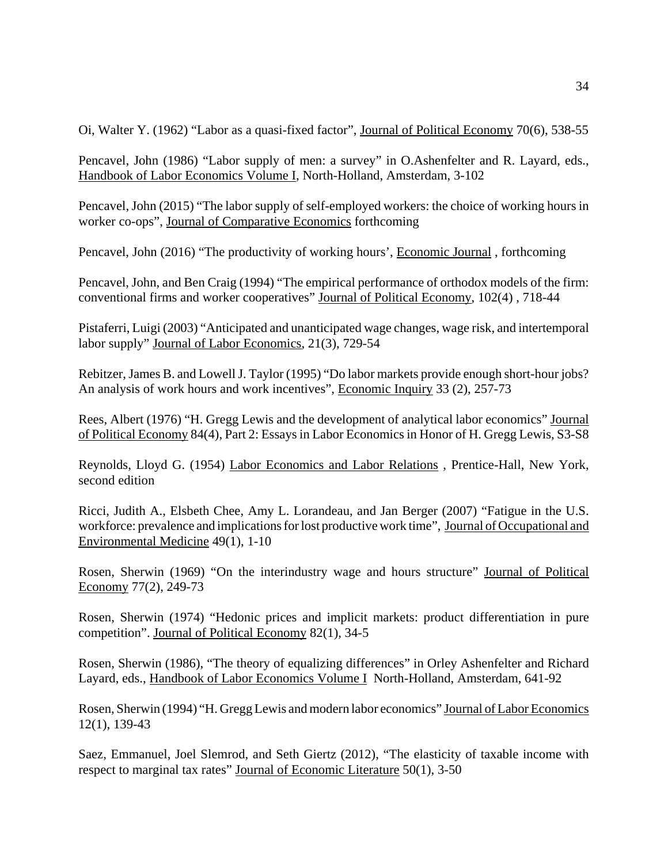Oi, Walter Y. (1962) "Labor as a quasi-fixed factor", Journal of Political Economy 70(6), 538-55

Pencavel, John (1986) "Labor supply of men: a survey" in O.Ashenfelter and R. Layard, eds., Handbook of Labor Economics Volume I, North-Holland, Amsterdam, 3-102

Pencavel, John (2015) "The labor supply of self-employed workers: the choice of working hours in worker co-ops", Journal of Comparative Economics forthcoming

Pencavel, John (2016) "The productivity of working hours', Economic Journal , forthcoming

Pencavel, John, and Ben Craig (1994) "The empirical performance of orthodox models of the firm: conventional firms and worker cooperatives" Journal of Political Economy, 102(4) , 718-44

Pistaferri, Luigi (2003) "Anticipated and unanticipated wage changes, wage risk, and intertemporal labor supply" Journal of Labor Economics, 21(3), 729-54

Rebitzer, James B. and Lowell J. Taylor (1995) "Do labor markets provide enough short-hour jobs? An analysis of work hours and work incentives", Economic Inquiry 33 (2), 257-73

Rees, Albert (1976) "H. Gregg Lewis and the development of analytical labor economics" Journal of Political Economy 84(4), Part 2: Essays in Labor Economics in Honor of H. Gregg Lewis, S3-S8

Reynolds, Lloyd G. (1954) Labor Economics and Labor Relations , Prentice-Hall, New York, second edition

Ricci, Judith A., Elsbeth Chee, Amy L. Lorandeau, and Jan Berger (2007) "Fatigue in the U.S. workforce: prevalence and implications for lost productive work time", Journal of Occupational and Environmental Medicine 49(1), 1-10

Rosen, Sherwin (1969) "On the interindustry wage and hours structure" Journal of Political Economy 77(2), 249-73

Rosen, Sherwin (1974) "Hedonic prices and implicit markets: product differentiation in pure competition". Journal of Political Economy 82(1), 34-5

Rosen, Sherwin (1986), "The theory of equalizing differences" in Orley Ashenfelter and Richard Layard, eds., Handbook of Labor Economics Volume I North-Holland, Amsterdam, 641-92

Rosen, Sherwin (1994) "H. Gregg Lewis and modern labor economics" Journal of Labor Economics 12(1), 139-43

Saez, Emmanuel, Joel Slemrod, and Seth Giertz (2012), "The elasticity of taxable income with respect to marginal tax rates" Journal of Economic Literature 50(1), 3-50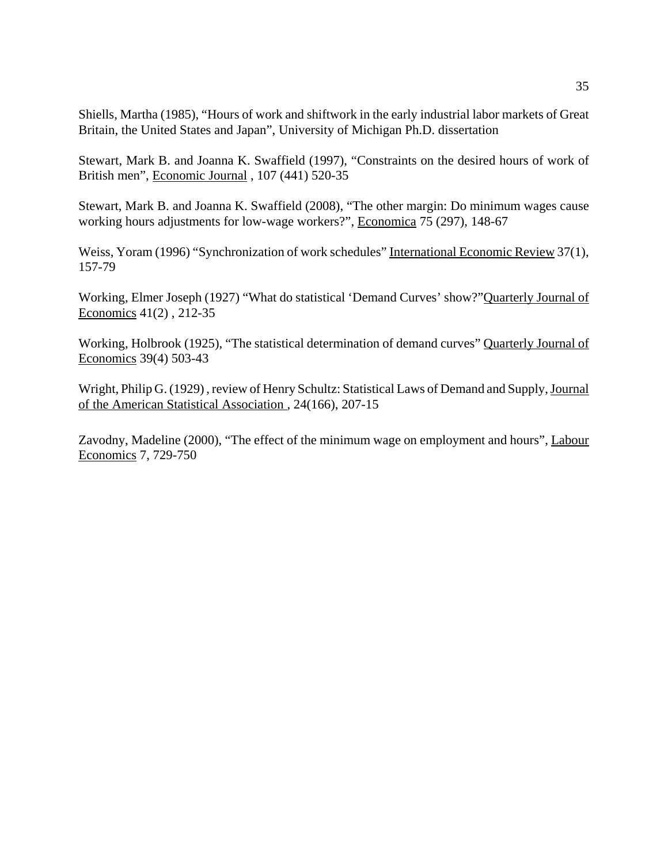Shiells, Martha (1985), "Hours of work and shiftwork in the early industrial labor markets of Great Britain, the United States and Japan", University of Michigan Ph.D. dissertation

Stewart, Mark B. and Joanna K. Swaffield (1997), "Constraints on the desired hours of work of British men", Economic Journal , 107 (441) 520-35

Stewart, Mark B. and Joanna K. Swaffield (2008), "The other margin: Do minimum wages cause working hours adjustments for low-wage workers?", Economica 75 (297), 148-67

Weiss, Yoram (1996) "Synchronization of work schedules" International Economic Review 37(1), 157-79

Working, Elmer Joseph (1927) "What do statistical 'Demand Curves' show?"Quarterly Journal of Economics 41(2) , 212-35

Working, Holbrook (1925), "The statistical determination of demand curves" Quarterly Journal of Economics 39(4) 503-43

Wright, Philip G. (1929) , review of Henry Schultz: Statistical Laws of Demand and Supply, Journal of the American Statistical Association , 24(166), 207-15

Zavodny, Madeline (2000), "The effect of the minimum wage on employment and hours", Labour Economics 7, 729-750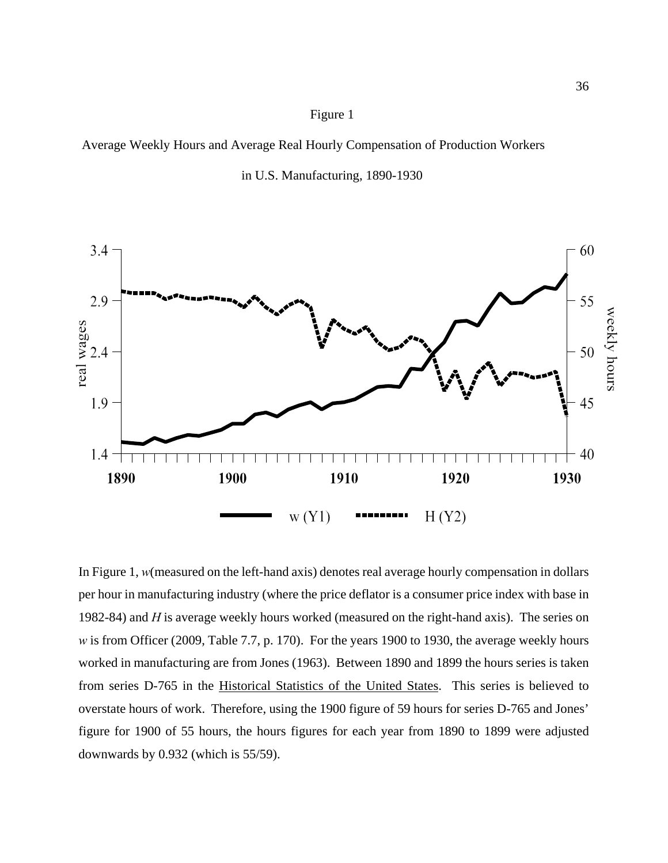Average Weekly Hours and Average Real Hourly Compensation of Production Workers





In Figure 1, *w*(measured on the left-hand axis) denotes real average hourly compensation in dollars per hour in manufacturing industry (where the price deflator is a consumer price index with base in 1982-84) and *H* is average weekly hours worked (measured on the right-hand axis). The series on *w* is from Officer (2009, Table 7.7, p. 170). For the years 1900 to 1930, the average weekly hours worked in manufacturing are from Jones (1963). Between 1890 and 1899 the hours series is taken from series D-765 in the Historical Statistics of the United States. This series is believed to overstate hours of work. Therefore, using the 1900 figure of 59 hours for series D-765 and Jones' figure for 1900 of 55 hours, the hours figures for each year from 1890 to 1899 were adjusted downwards by 0.932 (which is 55/59).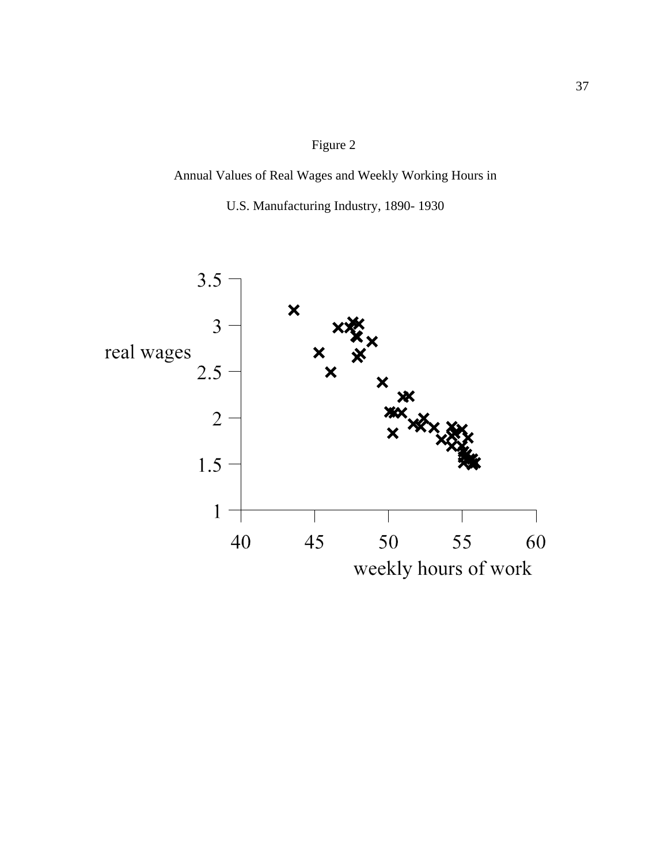## Annual Values of Real Wages and Weekly Working Hours in

U.S. Manufacturing Industry, 1890- 1930

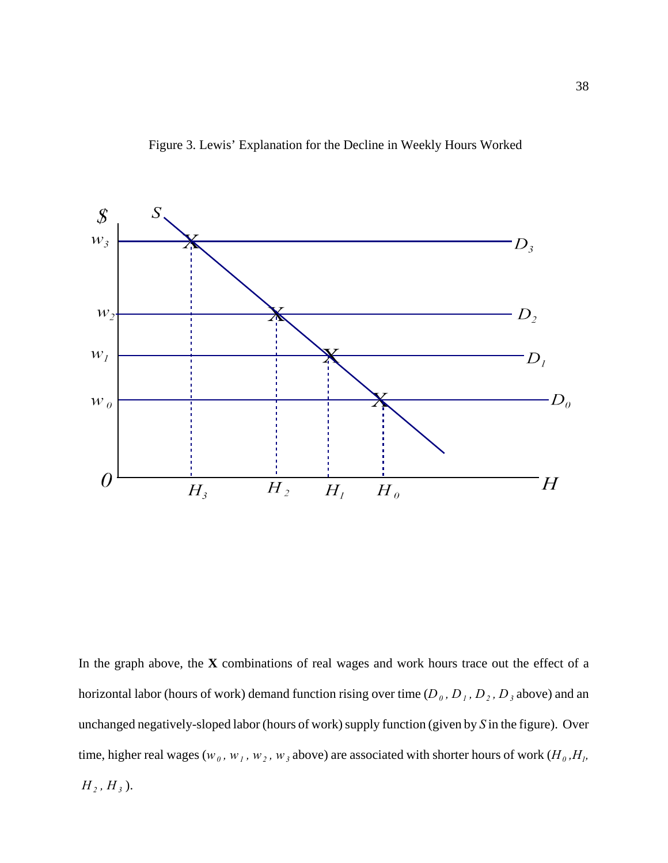



In the graph above, the **X** combinations of real wages and work hours trace out the effect of a horizontal labor (hours of work) demand function rising over time ( $D_0$ ,  $D_1$ ,  $D_2$ ,  $D_3$  above) and an unchanged negatively-sloped labor (hours of work) supply function (given by *S* in the figure). Over time, higher real wages ( $w_0$ ,  $w_1$ ,  $w_2$ ,  $w_3$  above) are associated with shorter hours of work ( $H_0$ , $H_1$ ,  $H_2, H_3$ ).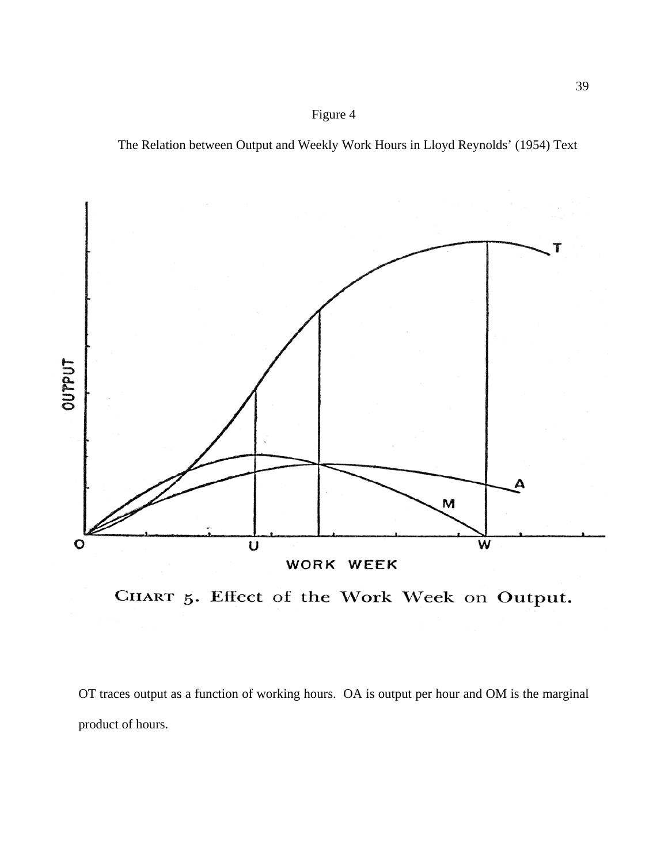The Relation between Output and Weekly Work Hours in Lloyd Reynolds' (1954) Text



CHART 5. Effect of the Work Week on Output.

OT traces output as a function of working hours. OA is output per hour and OM is the marginal product of hours.